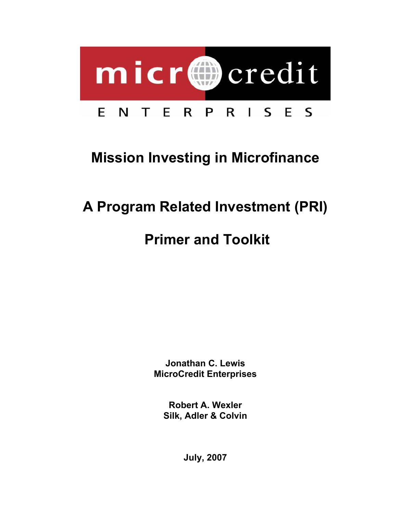

# **Mission Investing in Microfinance**

# **A Program Related Investment (PRI)**

# **Primer and Toolkit**

**Jonathan C. Lewis MicroCredit Enterprises** 

**Robert A. Wexler Silk, Adler & Colvin** 

**July, 2007**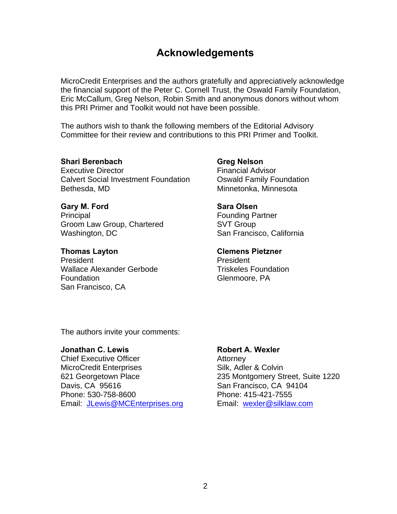# **Acknowledgements**

MicroCredit Enterprises and the authors gratefully and appreciatively acknowledge the financial support of the Peter C. Cornell Trust, the Oswald Family Foundation, Eric McCallum, Greg Nelson, Robin Smith and anonymous donors without whom this PRI Primer and Toolkit would not have been possible.

The authors wish to thank the following members of the Editorial Advisory Committee for their review and contributions to this PRI Primer and Toolkit.

#### **Shari Berenbach**

Executive Director Calvert Social Investment Foundation Bethesda, MD

# **Gary M. Ford**

**Principal** Groom Law Group, Chartered Washington, DC

#### **Thomas Layton**

President Wallace Alexander Gerbode **Foundation** San Francisco, CA

**Greg Nelson**  Financial Advisor Oswald Family Foundation Minnetonka, Minnesota

# **Sara Olsen**  Founding Partner SVT Group San Francisco, California

### **Clemens Pietzner**

President Triskeles Foundation Glenmoore, PA

The authors invite your comments:

# **Jonathan C. Lewis**

Chief Executive Officer MicroCredit Enterprises 621 Georgetown Place Davis, CA 95616 Phone: 530-758-8600 Email: JLewis@MCEnterprises.org

#### **Robert A. Wexler**

**Attorney** Silk, Adler & Colvin 235 Montgomery Street, Suite 1220 San Francisco, CA 94104 Phone: 415-421-7555 Email: wexler@silklaw.com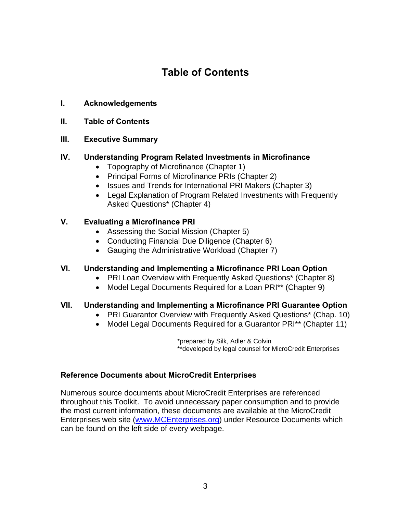# **Table of Contents**

- **I. Acknowledgements**
- **II. Table of Contents**

# **III. Executive Summary**

# **IV. Understanding Program Related Investments in Microfinance**

- Topography of Microfinance (Chapter 1)
- Principal Forms of Microfinance PRIs (Chapter 2)
- Issues and Trends for International PRI Makers (Chapter 3)
- Legal Explanation of Program Related Investments with Frequently Asked Questions\* (Chapter 4)

# **V. Evaluating a Microfinance PRI**

- Assessing the Social Mission (Chapter 5)
- Conducting Financial Due Diligence (Chapter 6)
- Gauging the Administrative Workload (Chapter 7)

# **VI. Understanding and Implementing a Microfinance PRI Loan Option**

- PRI Loan Overview with Frequently Asked Questions\* (Chapter 8)
- Model Legal Documents Required for a Loan PRI<sup>\*\*</sup> (Chapter 9)

# **VII. Understanding and Implementing a Microfinance PRI Guarantee Option**

- PRI Guarantor Overview with Frequently Asked Questions\* (Chap. 10)
- Model Legal Documents Required for a Guarantor PRI<sup>\*\*</sup> (Chapter 11)

\*prepared by Silk, Adler & Colvin \*\*developed by legal counsel for MicroCredit Enterprises

# **Reference Documents about MicroCredit Enterprises**

Numerous source documents about MicroCredit Enterprises are referenced throughout this Toolkit. To avoid unnecessary paper consumption and to provide the most current information, these documents are available at the MicroCredit Enterprises web site (www.MCEnterprises.org) under Resource Documents which can be found on the left side of every webpage.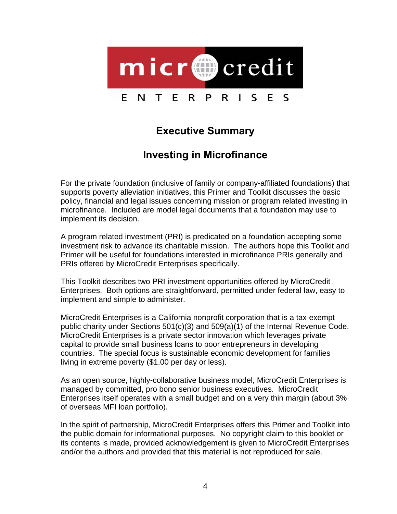

# **Executive Summary**

# **Investing in Microfinance**

For the private foundation (inclusive of family or company-affiliated foundations) that supports poverty alleviation initiatives, this Primer and Toolkit discusses the basic policy, financial and legal issues concerning mission or program related investing in microfinance. Included are model legal documents that a foundation may use to implement its decision.

A program related investment (PRI) is predicated on a foundation accepting some investment risk to advance its charitable mission. The authors hope this Toolkit and Primer will be useful for foundations interested in microfinance PRIs generally and PRIs offered by MicroCredit Enterprises specifically.

This Toolkit describes two PRI investment opportunities offered by MicroCredit Enterprises. Both options are straightforward, permitted under federal law, easy to implement and simple to administer.

MicroCredit Enterprises is a California nonprofit corporation that is a tax-exempt public charity under Sections  $501(c)(3)$  and  $509(a)(1)$  of the Internal Revenue Code. MicroCredit Enterprises is a private sector innovation which leverages private capital to provide small business loans to poor entrepreneurs in developing countries. The special focus is sustainable economic development for families living in extreme poverty (\$1.00 per day or less).

As an open source, highly-collaborative business model, MicroCredit Enterprises is managed by committed, pro bono senior business executives. MicroCredit Enterprises itself operates with a small budget and on a very thin margin (about 3% of overseas MFI loan portfolio).

In the spirit of partnership, MicroCredit Enterprises offers this Primer and Toolkit into the public domain for informational purposes. No copyright claim to this booklet or its contents is made, provided acknowledgement is given to MicroCredit Enterprises and/or the authors and provided that this material is not reproduced for sale.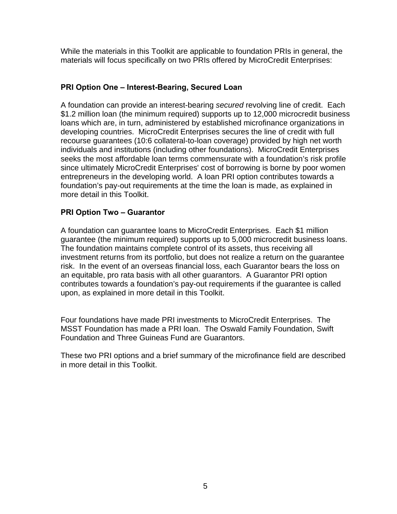While the materials in this Toolkit are applicable to foundation PRIs in general, the materials will focus specifically on two PRIs offered by MicroCredit Enterprises:

# **PRI Option One – Interest-Bearing, Secured Loan**

A foundation can provide an interest-bearing *secured* revolving line of credit. Each \$1.2 million loan (the minimum required) supports up to 12,000 microcredit business loans which are, in turn, administered by established microfinance organizations in developing countries. MicroCredit Enterprises secures the line of credit with full recourse guarantees (10:6 collateral-to-loan coverage) provided by high net worth individuals and institutions (including other foundations). MicroCredit Enterprises seeks the most affordable loan terms commensurate with a foundation's risk profile since ultimately MicroCredit Enterprises' cost of borrowing is borne by poor women entrepreneurs in the developing world. A loan PRI option contributes towards a foundation's pay-out requirements at the time the loan is made, as explained in more detail in this Toolkit.

# **PRI Option Two – Guarantor**

A foundation can guarantee loans to MicroCredit Enterprises. Each \$1 million guarantee (the minimum required) supports up to 5,000 microcredit business loans. The foundation maintains complete control of its assets, thus receiving all investment returns from its portfolio, but does not realize a return on the guarantee risk. In the event of an overseas financial loss, each Guarantor bears the loss on an equitable, pro rata basis with all other guarantors. A Guarantor PRI option contributes towards a foundation's pay-out requirements if the guarantee is called upon, as explained in more detail in this Toolkit.

Four foundations have made PRI investments to MicroCredit Enterprises. The MSST Foundation has made a PRI loan. The Oswald Family Foundation, Swift Foundation and Three Guineas Fund are Guarantors.

These two PRI options and a brief summary of the microfinance field are described in more detail in this Toolkit.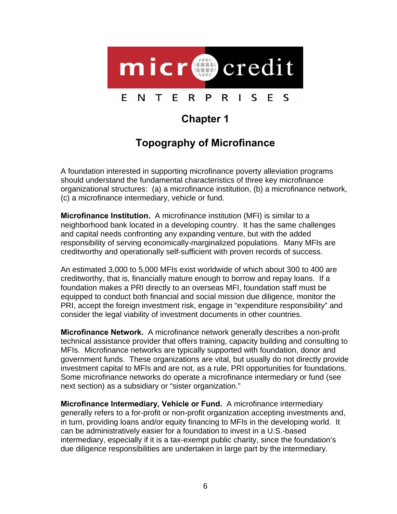

# **Chapter 1**

# **Topography of Microfinance**

A foundation interested in supporting microfinance poverty alleviation programs should understand the fundamental characteristics of three key microfinance organizational structures: (a) a microfinance institution, (b) a microfinance network, (c) a microfinance intermediary, vehicle or fund.

**Microfinance Institution.** A microfinance institution (MFI) is similar to a neighborhood bank located in a developing country. It has the same challenges and capital needs confronting any expanding venture, but with the added responsibility of serving economically-marginalized populations. Many MFIs are creditworthy and operationally self-sufficient with proven records of success.

An estimated 3,000 to 5,000 MFIs exist worldwide of which about 300 to 400 are creditworthy, that is, financially mature enough to borrow and repay loans. If a foundation makes a PRI directly to an overseas MFI, foundation staff must be equipped to conduct both financial and social mission due diligence, monitor the PRI, accept the foreign investment risk, engage in "expenditure responsibility" and consider the legal viability of investment documents in other countries.

**Microfinance Network.** A microfinance network generally describes a non-profit technical assistance provider that offers training, capacity building and consulting to MFIs. Microfinance networks are typically supported with foundation, donor and government funds. These organizations are vital, but usually do not directly provide investment capital to MFIs and are not, as a rule, PRI opportunities for foundations. Some microfinance networks do operate a microfinance intermediary or fund (see next section) as a subsidiary or "sister organization."

**Microfinance Intermediary, Vehicle or Fund.** A microfinance intermediary generally refers to a for-profit or non-profit organization accepting investments and, in turn, providing loans and/or equity financing to MFIs in the developing world. It can be administratively easier for a foundation to invest in a U.S.-based intermediary, especially if it is a tax-exempt public charity, since the foundation's due diligence responsibilities are undertaken in large part by the intermediary.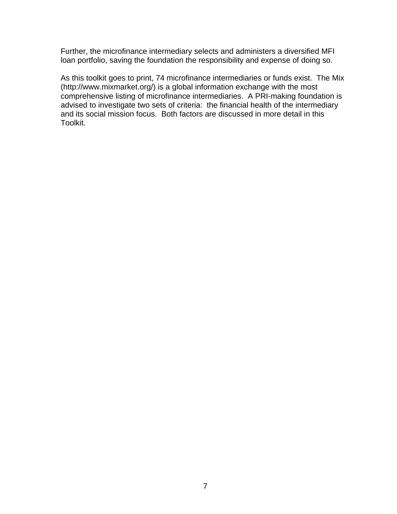Further, the microfinance intermediary selects and administers a diversified MFI loan portfolio, saving the foundation the responsibility and expense of doing so.

As this toolkit goes to print, 74 microfinance intermediaries or funds exist. The Mix (http://www.mixmarket.org/) is a global information exchange with the most comprehensive listing of microfinance intermediaries. A PRI-making foundation is advised to investigate two sets of criteria: the financial health of the intermediary and its social mission focus. Both factors are discussed in more detail in this Toolkit.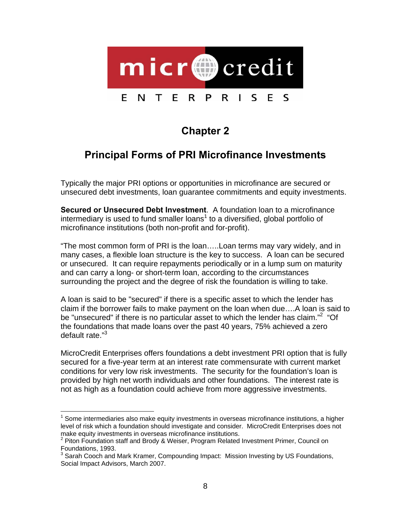

# **Chapter 2**

# **Principal Forms of PRI Microfinance Investments**

Typically the major PRI options or opportunities in microfinance are secured or unsecured debt investments, loan guarantee commitments and equity investments.

**Secured or Unsecured Debt Investment**. A foundation loan to a microfinance intermediary is used to fund smaller loans<sup>1</sup> to a diversified, global portfolio of microfinance institutions (both non-profit and for-profit).

"The most common form of PRI is the loan…..Loan terms may vary widely, and in many cases, a flexible loan structure is the key to success. A loan can be secured or unsecured. It can require repayments periodically or in a lump sum on maturity and can carry a long- or short-term loan, according to the circumstances surrounding the project and the degree of risk the foundation is willing to take.

A loan is said to be "secured" if there is a specific asset to which the lender has claim if the borrower fails to make payment on the loan when due….A loan is said to be "unsecured" if there is no particular asset to which the lender has claim."<sup>2</sup> "Of the foundations that made loans over the past 40 years, 75% achieved a zero default rate."3

MicroCredit Enterprises offers foundations a debt investment PRI option that is fully secured for a five-year term at an interest rate commensurate with current market conditions for very low risk investments. The security for the foundation's loan is provided by high net worth individuals and other foundations. The interest rate is not as high as a foundation could achieve from more aggressive investments.

l  $1$  Some intermediaries also make equity investments in overseas microfinance institutions, a higher level of risk which a foundation should investigate and consider. MicroCredit Enterprises does not make equity investments in overseas microfinance institutions.

<sup>&</sup>lt;sup>2</sup> Piton Foundation staff and Brody & Weiser, Program Related Investment Primer, Council on Foundations, 1993.

<sup>&</sup>lt;sup>3</sup> Sarah Cooch and Mark Kramer, Compounding Impact: Mission Investing by US Foundations, Social Impact Advisors, March 2007.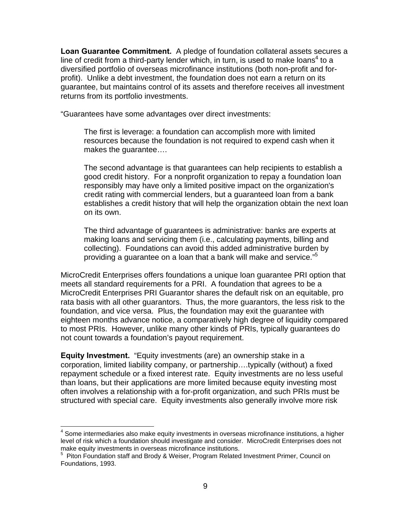**Loan Guarantee Commitment.** A pledge of foundation collateral assets secures a line of credit from a third-party lender which, in turn, is used to make loans<sup>4</sup> to a diversified portfolio of overseas microfinance institutions (both non-profit and forprofit). Unlike a debt investment, the foundation does not earn a return on its guarantee, but maintains control of its assets and therefore receives all investment returns from its portfolio investments.

"Guarantees have some advantages over direct investments:

The first is leverage: a foundation can accomplish more with limited resources because the foundation is not required to expend cash when it makes the guarantee….

The second advantage is that guarantees can help recipients to establish a good credit history. For a nonprofit organization to repay a foundation loan responsibly may have only a limited positive impact on the organization's credit rating with commercial lenders, but a guaranteed loan from a bank establishes a credit history that will help the organization obtain the next loan on its own.

The third advantage of guarantees is administrative: banks are experts at making loans and servicing them (i.e., calculating payments, billing and collecting). Foundations can avoid this added administrative burden by providing a guarantee on a loan that a bank will make and service."<sup>5</sup>

MicroCredit Enterprises offers foundations a unique loan guarantee PRI option that meets all standard requirements for a PRI. A foundation that agrees to be a MicroCredit Enterprises PRI Guarantor shares the default risk on an equitable, pro rata basis with all other guarantors. Thus, the more guarantors, the less risk to the foundation, and vice versa. Plus, the foundation may exit the guarantee with eighteen months advance notice, a comparatively high degree of liquidity compared to most PRIs. However, unlike many other kinds of PRIs, typically guarantees do not count towards a foundation's payout requirement.

**Equity Investment.** "Equity investments (are) an ownership stake in a corporation, limited liability company, or partnership….typically (without) a fixed repayment schedule or a fixed interest rate. Equity investments are no less useful than loans, but their applications are more limited because equity investing most often involves a relationship with a for-profit organization, and such PRIs must be structured with special care. Equity investments also generally involve more risk

l

<sup>&</sup>lt;sup>4</sup> Some intermediaries also make equity investments in overseas microfinance institutions, a higher level of risk which a foundation should investigate and consider. MicroCredit Enterprises does not make equity investments in overseas microfinance institutions.

<sup>&</sup>lt;sup>5</sup> Piton Foundation staff and Brody & Weiser, Program Related Investment Primer, Council on Foundations, 1993.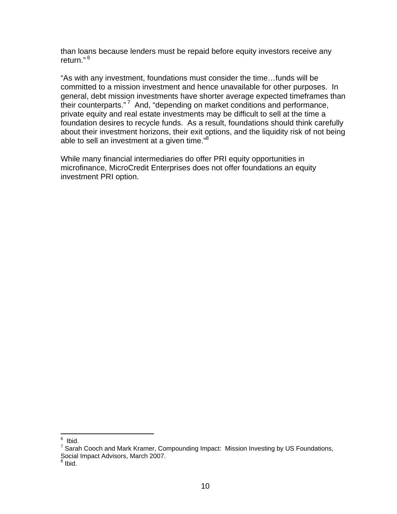than loans because lenders must be repaid before equity investors receive any return."<sup>6</sup>

"As with any investment, foundations must consider the time…funds will be committed to a mission investment and hence unavailable for other purposes. In general, debt mission investments have shorter average expected timeframes than their counterparts." 7 And, "depending on market conditions and performance, private equity and real estate investments may be difficult to sell at the time a foundation desires to recycle funds. As a result, foundations should think carefully about their investment horizons, their exit options, and the liquidity risk of not being able to sell an investment at a given time."<sup>8</sup>

While many financial intermediaries do offer PRI equity opportunities in microfinance, MicroCredit Enterprises does not offer foundations an equity investment PRI option.

 6 Ibid.

 $<sup>7</sup>$  Sarah Cooch and Mark Kramer, Compounding Impact: Mission Investing by US Foundations,</sup> Social Impact Advisors, March 2007.<br><sup>8</sup> Ibid

Ibid.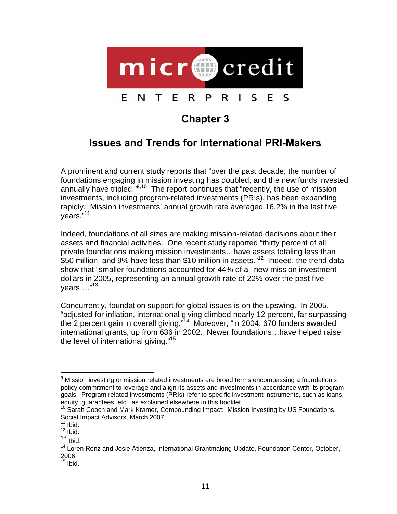

# **Chapter 3**

# **Issues and Trends for International PRI-Makers**

A prominent and current study reports that "over the past decade, the number of foundations engaging in mission investing has doubled, and the new funds invested annually have tripled.<sup>"9,10</sup> The report continues that "recently, the use of mission investments, including program-related investments (PRIs), has been expanding rapidly. Mission investments' annual growth rate averaged 16.2% in the last five years."11

Indeed, foundations of all sizes are making mission-related decisions about their assets and financial activities. One recent study reported "thirty percent of all private foundations making mission investments…have assets totaling less than \$50 million, and 9% have less than \$10 million in assets."<sup>12</sup> Indeed, the trend data show that "smaller foundations accounted for 44% of all new mission investment dollars in 2005, representing an annual growth rate of 22% over the past five years...."<sup>13</sup>

Concurrently, foundation support for global issues is on the upswing. In 2005, "adjusted for inflation, international giving climbed nearly 12 percent, far surpassing the 2 percent gain in overall giving."14 Moreover, "in 2004, 670 funders awarded international grants, up from 636 in 2002. Newer foundations…have helped raise the level of international giving."<sup>15</sup>

l

<sup>&</sup>lt;sup>9</sup> Mission investing or mission related investments are broad terms encompassing a foundation's policy commitment to leverage and align its assets and investments in accordance with its program goals. Program related investments (PRIs) refer to specific investment instruments, such as loans, equity, guarantees, etc., as explained elsewhere in this booklet.

<sup>10</sup> Sarah Cooch and Mark Kramer, Compounding Impact: Mission Investing by US Foundations, Social Impact Advisors, March 2007.

 $11$  Ibid.

 $12$  lbid.

 $13$  Ibid.

<sup>&</sup>lt;sup>14</sup> Loren Renz and Josie Atienza, International Grantmaking Update, Foundation Center, October, 2006.

 $15$  Ibid.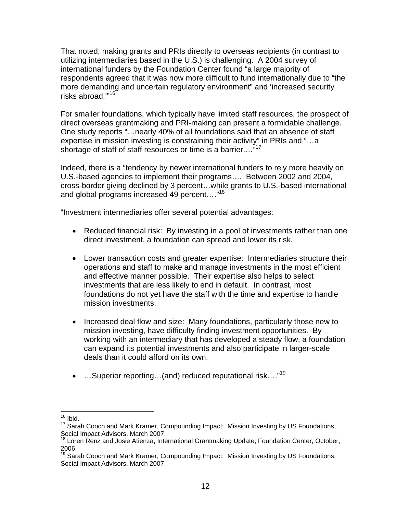That noted, making grants and PRIs directly to overseas recipients (in contrast to utilizing intermediaries based in the U.S.) is challenging. A 2004 survey of international funders by the Foundation Center found "a large majority of respondents agreed that it was now more difficult to fund internationally due to "the more demanding and uncertain regulatory environment" and 'increased security risks abroad."<sup>16</sup>

For smaller foundations, which typically have limited staff resources, the prospect of direct overseas grantmaking and PRI-making can present a formidable challenge. One study reports "…nearly 40% of all foundations said that an absence of staff expertise in mission investing is constraining their activity" in PRIs and "…a shortage of staff of staff resources or time is a barrier...."<sup>17</sup>

Indeed, there is a "tendency by newer international funders to rely more heavily on U.S.-based agencies to implement their programs…. Between 2002 and 2004, cross-border giving declined by 3 percent…while grants to U.S.-based international and global programs increased 49 percent...."<sup>18</sup>

"Investment intermediaries offer several potential advantages:

- Reduced financial risk: By investing in a pool of investments rather than one direct investment, a foundation can spread and lower its risk.
- Lower transaction costs and greater expertise: Intermediaries structure their operations and staff to make and manage investments in the most efficient and effective manner possible. Their expertise also helps to select investments that are less likely to end in default. In contrast, most foundations do not yet have the staff with the time and expertise to handle mission investments.
- Increased deal flow and size: Many foundations, particularly those new to mission investing, have difficulty finding investment opportunities. By working with an intermediary that has developed a steady flow, a foundation can expand its potential investments and also participate in larger-scale deals than it could afford on its own.
- ...Superior reporting...(and) reduced reputational risk...."<sup>19</sup>

l  $16$  Ibid.

 $17$  Sarah Cooch and Mark Kramer, Compounding Impact: Mission Investing by US Foundations, Social Impact Advisors, March 2007.

<sup>18</sup> Loren Renz and Josie Atienza, International Grantmaking Update, Foundation Center, October, 2006.

<sup>&</sup>lt;sup>19</sup> Sarah Cooch and Mark Kramer, Compounding Impact: Mission Investing by US Foundations, Social Impact Advisors, March 2007.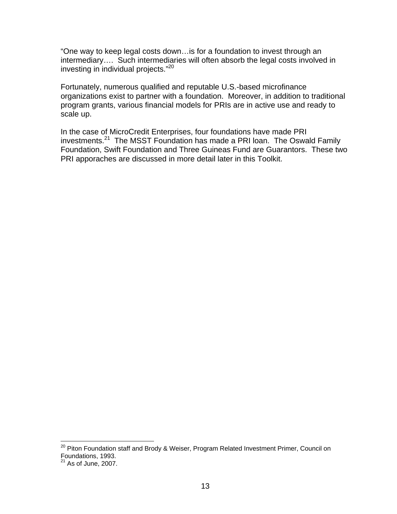"One way to keep legal costs down…is for a foundation to invest through an intermediary…. Such intermediaries will often absorb the legal costs involved in investing in individual projects."20

Fortunately, numerous qualified and reputable U.S.-based microfinance organizations exist to partner with a foundation. Moreover, in addition to traditional program grants, various financial models for PRIs are in active use and ready to scale up.

In the case of MicroCredit Enterprises, four foundations have made PRI investments.<sup>21</sup> The MSST Foundation has made a PRI loan. The Oswald Family Foundation, Swift Foundation and Three Guineas Fund are Guarantors. These two PRI apporaches are discussed in more detail later in this Toolkit.

l

<sup>&</sup>lt;sup>20</sup> Piton Foundation staff and Brody & Weiser, Program Related Investment Primer, Council on Foundations, 1993.

 $21$  As of June, 2007.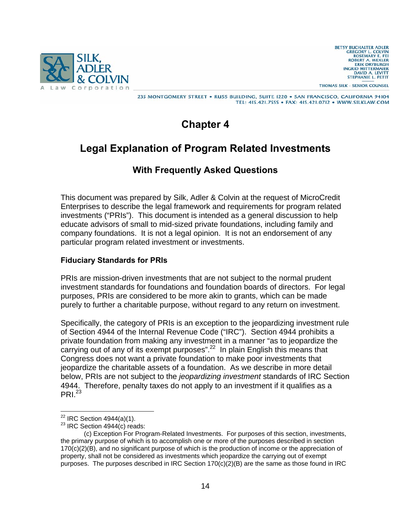

**BETSY BUCHALTER ADLER GREGORY L. COLVIN<br>
ROSEMARY E. FEI** ROBERT A. WEXLER<br>ERIK DRYBURGH **INGRID MITTERMAIER** DAVID A. LEVITT STEPHANIE L. PETIT

THOMAS SILK - SENIOR COUNSEL

235 MONTGOMERY STREET . RUSS BUILDING, SUITE 1220 . SAN FRANCISCO, CALIFORNIA 94104 TEL: 415.421.7555 · FAX: 415.421.0712 · WWW.SILKLAW.COM

# **Chapter 4**

# **Legal Explanation of Program Related Investments**

# **With Frequently Asked Questions**

This document was prepared by Silk, Adler & Colvin at the request of MicroCredit Enterprises to describe the legal framework and requirements for program related investments ("PRIs"). This document is intended as a general discussion to help educate advisors of small to mid-sized private foundations, including family and company foundations. It is not a legal opinion. It is not an endorsement of any particular program related investment or investments.

# **Fiduciary Standards for PRIs**

PRIs are mission-driven investments that are not subject to the normal prudent investment standards for foundations and foundation boards of directors. For legal purposes, PRIs are considered to be more akin to grants, which can be made purely to further a charitable purpose, without regard to any return on investment.

Specifically, the category of PRIs is an exception to the jeopardizing investment rule of Section 4944 of the Internal Revenue Code ("IRC"). Section 4944 prohibits a private foundation from making any investment in a manner "as to jeopardize the carrying out of any of its exempt purposes".<sup>22</sup> In plain English this means that Congress does not want a private foundation to make poor investments that jeopardize the charitable assets of a foundation. As we describe in more detail below, PRIs are not subject to the *jeopardizing investment* standards of IRC Section 4944. Therefore, penalty taxes do not apply to an investment if it qualifies as a  $PRI<sup>23</sup>$ 

 $22$  IRC Section 4944(a)(1).

 $23$  IRC Section 4944(c) reads:

 <sup>(</sup>c) Exception For Program-Related Investments. For purposes of this section, investments, the primary purpose of which is to accomplish one or more of the purposes described in section 170(c)(2)(B), and no significant purpose of which is the production of income or the appreciation of property, shall not be considered as investments which jeopardize the carrying out of exempt purposes. The purposes described in IRC Section  $170(c)(2)(B)$  are the same as those found in IRC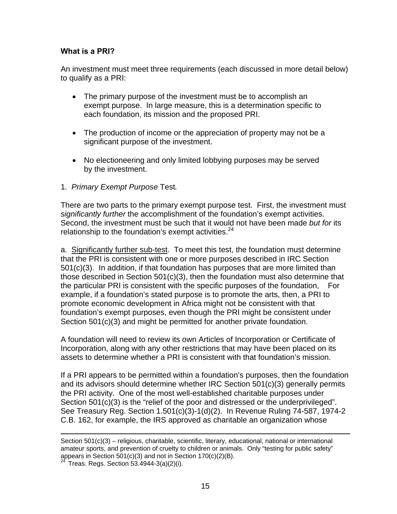# **What is a PRI?**

An investment must meet three requirements (each discussed in more detail below) to qualify as a PRI:

- The primary purpose of the investment must be to accomplish an exempt purpose. In large measure, this is a determination specific to each foundation, its mission and the proposed PRI.
- The production of income or the appreciation of property may not be a significant purpose of the investment.
- No electioneering and only limited lobbying purposes may be served by the investment.
- 1. *Primary Exempt Purpose* Test*.*

There are two parts to the primary exempt purpose test. First, the investment must *significantly further* the accomplishment of the foundation's exempt activities. Second, the investment must be such that it would not have been made *but for* its relationship to the foundation's exempt activities. $24$ 

a.Significantly further sub-test. To meet this test, the foundation must determine that the PRI is consistent with one or more purposes described in IRC Section 501(c)(3). In addition, if that foundation has purposes that are more limited than those described in Section  $501(c)(3)$ , then the foundation must also determine that the particular PRI is consistent with the specific purposes of the foundation, For example, if a foundation's stated purpose is to promote the arts, then, a PRI to promote economic development in Africa might not be consistent with that foundation's exempt purposes, even though the PRI might be consistent under Section 501(c)(3) and might be permitted for another private foundation.

A foundation will need to review its own Articles of Incorporation or Certificate of Incorporation, along with any other restrictions that may have been placed on its assets to determine whether a PRI is consistent with that foundation's mission.

If a PRI appears to be permitted within a foundation's purposes, then the foundation and its advisors should determine whether IRC Section 501(c)(3) generally permits the PRI activity. One of the most well-established charitable purposes under Section 501(c)(3) is the "relief of the poor and distressed or the underprivileged". See Treasury Reg. Section 1.501(c)(3)-1(d)(2). In Revenue Ruling 74-587, 1974-2 C.B. 162, for example, the IRS approved as charitable an organization whose

Section 501(c)(3) – religious, charitable, scientific, literary, educational, national or international amateur sports, and prevention of cruelty to children or animals. Only "testing for public safety" appears in Section 501(c)(3) and not in Section 170(c)(2)(B).<br><sup>24</sup> Treas. Regs. Section 53.4944-3(a)(2)(i).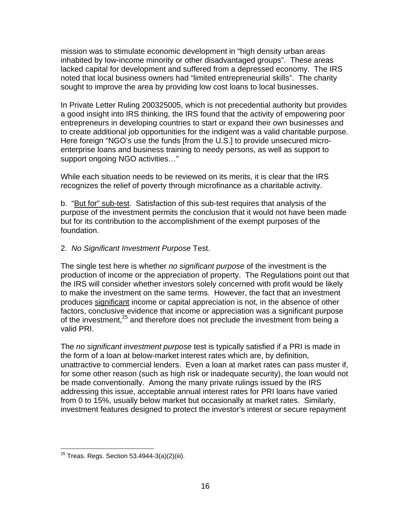mission was to stimulate economic development in "high density urban areas inhabited by low-income minority or other disadvantaged groups". These areas lacked capital for development and suffered from a depressed economy. The IRS noted that local business owners had "limited entrepreneurial skills". The charity sought to improve the area by providing low cost loans to local businesses.

In Private Letter Ruling 200325005, which is not precedential authority but provides a good insight into IRS thinking, the IRS found that the activity of empowering poor entrepreneurs in developing countries to start or expand their own businesses and to create additional job opportunities for the indigent was a valid charitable purpose. Here foreign "NGO's use the funds [from the U.S.] to provide unsecured microenterprise loans and business training to needy persons, as well as support to support ongoing NGO activities…"

While each situation needs to be reviewed on its merits, it is clear that the IRS recognizes the relief of poverty through microfinance as a charitable activity.

b. "But for" sub-test. Satisfaction of this sub-test requires that analysis of the purpose of the investment permits the conclusion that it would not have been made but for its contribution to the accomplishment of the exempt purposes of the foundation.

# 2. *No Significant Investment Purpose* Test.

The single test here is whether *no significant purpose* of the investment is the production of income or the appreciation of property. The Regulations point out that the IRS will consider whether investors solely concerned with profit would be likely to make the investment on the same terms. However, the fact that an investment produces significant income or capital appreciation is not, in the absence of other factors, conclusive evidence that income or appreciation was a significant purpose of the investment,<sup>25</sup> and therefore does not preclude the investment from being a valid PRI.

The *no significant investment purpose* test is typically satisfied if a PRI is made in the form of a loan at below-market interest rates which are, by definition, unattractive to commercial lenders. Even a loan at market rates can pass muster if, for some other reason (such as high risk or inadequate security), the loan would not be made conventionally. Among the many private rulings issued by the IRS addressing this issue, acceptable annual interest rates for PRI loans have varied from 0 to 15%, usually below market but occasionally at market rates. Similarly, investment features designed to protect the investor's interest or secure repayment

l  $^{25}$  Treas. Regs. Section 53.4944-3(a)(2)(iii).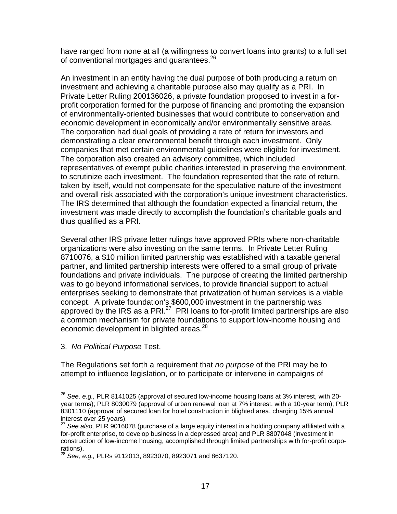have ranged from none at all (a willingness to convert loans into grants) to a full set of conventional mortgages and guarantees.<sup>26</sup>

An investment in an entity having the dual purpose of both producing a return on investment and achieving a charitable purpose also may qualify as a PRI. In Private Letter Ruling 200136026, a private foundation proposed to invest in a forprofit corporation formed for the purpose of financing and promoting the expansion of environmentally-oriented businesses that would contribute to conservation and economic development in economically and/or environmentally sensitive areas. The corporation had dual goals of providing a rate of return for investors and demonstrating a clear environmental benefit through each investment. Only companies that met certain environmental guidelines were eligible for investment. The corporation also created an advisory committee, which included representatives of exempt public charities interested in preserving the environment, to scrutinize each investment. The foundation represented that the rate of return, taken by itself, would not compensate for the speculative nature of the investment and overall risk associated with the corporation's unique investment characteristics. The IRS determined that although the foundation expected a financial return, the investment was made directly to accomplish the foundation's charitable goals and thus qualified as a PRI.

Several other IRS private letter rulings have approved PRIs where non-charitable organizations were also investing on the same terms. In Private Letter Ruling 8710076, a \$10 million limited partnership was established with a taxable general partner, and limited partnership interests were offered to a small group of private foundations and private individuals. The purpose of creating the limited partnership was to go beyond informational services, to provide financial support to actual enterprises seeking to demonstrate that privatization of human services is a viable concept. A private foundation's \$600,000 investment in the partnership was approved by the IRS as a PRI $^{27}$  PRI loans to for-profit limited partnerships are also a common mechanism for private foundations to support low-income housing and economic development in blighted areas.<sup>28</sup>

3. *No Political Purpose* Test.

l

The Regulations set forth a requirement that *no purpose* of the PRI may be to attempt to influence legislation, or to participate or intervene in campaigns of

<sup>26</sup> *See, e.g.,* PLR 8141025 (approval of secured low-income housing loans at 3% interest, with 20 year terms); PLR 8030079 (approval of urban renewal loan at 7% interest, with a 10-year term); PLR 8301110 (approval of secured loan for hotel construction in blighted area, charging 15% annual interest over 25 years).

<sup>27</sup> *See also,* PLR 9016078 (purchase of a large equity interest in a holding company affiliated with a for-profit enterprise, to develop business in a depressed area) and PLR 8807048 (investment in construction of low-income housing, accomplished through limited partnerships with for-profit corporations).

<sup>28</sup> *See, e.g.,* PLRs 9112013, 8923070, 8923071 and 8637120.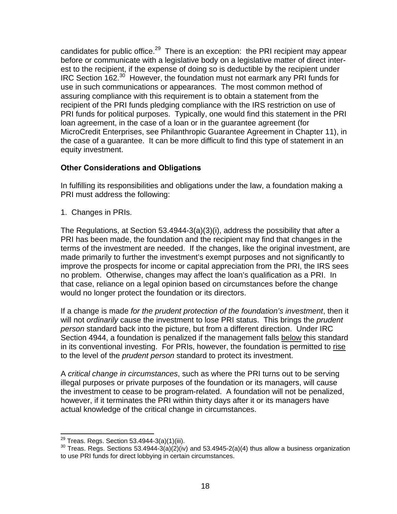candidates for public office.<sup>29</sup> There is an exception: the PRI recipient may appear before or communicate with a legislative body on a legislative matter of direct interest to the recipient, if the expense of doing so is deductible by the recipient under IRC Section 162.30 However, the foundation must not earmark any PRI funds for use in such communications or appearances. The most common method of assuring compliance with this requirement is to obtain a statement from the recipient of the PRI funds pledging compliance with the IRS restriction on use of PRI funds for political purposes. Typically, one would find this statement in the PRI loan agreement, in the case of a loan or in the guarantee agreement (for MicroCredit Enterprises, see Philanthropic Guarantee Agreement in Chapter 11), in the case of a guarantee. It can be more difficult to find this type of statement in an equity investment.

# **Other Considerations and Obligations**

In fulfilling its responsibilities and obligations under the law, a foundation making a PRI must address the following:

1. Changes in PRIs.

The Regulations, at Section 53.4944-3(a)(3)(i), address the possibility that after a PRI has been made, the foundation and the recipient may find that changes in the terms of the investment are needed. If the changes, like the original investment, are made primarily to further the investment's exempt purposes and not significantly to improve the prospects for income or capital appreciation from the PRI, the IRS sees no problem. Otherwise, changes may affect the loan's qualification as a PRI. In that case, reliance on a legal opinion based on circumstances before the change would no longer protect the foundation or its directors.

If a change is made *for the prudent protection of the foundation's investment*, then it will not *ordinarily* cause the investment to lose PRI status. This brings the *prudent person* standard back into the picture, but from a different direction. Under IRC Section 4944, a foundation is penalized if the management falls below this standard in its conventional investing. For PRIs, however, the foundation is permitted to rise to the level of the *prudent person* standard to protect its investment.

A *critical change in circumstances*, such as where the PRI turns out to be serving illegal purposes or private purposes of the foundation or its managers, will cause the investment to cease to be program-related. A foundation will not be penalized, however, if it terminates the PRI within thirty days after it or its managers have actual knowledge of the critical change in circumstances.

<sup>&</sup>lt;sup>29</sup> Treas. Regs. Section 53.4944-3(a)(1)(iii).

<sup>&</sup>lt;sup>30</sup> Treas. Regs. Sections 53.4944-3(a)(2)(iv) and 53.4945-2(a)(4) thus allow a business organization to use PRI funds for direct lobbying in certain circumstances.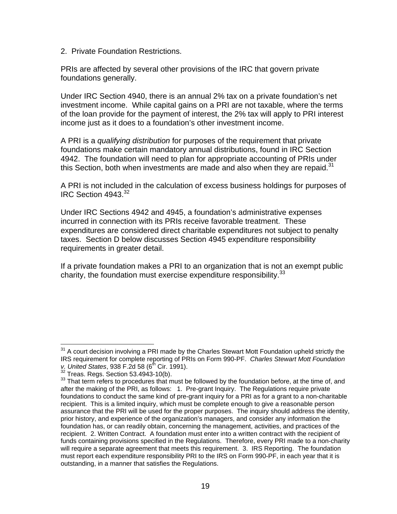2. Private Foundation Restrictions.

PRIs are affected by several other provisions of the IRC that govern private foundations generally.

Under IRC Section 4940, there is an annual 2% tax on a private foundation's net investment income. While capital gains on a PRI are not taxable, where the terms of the loan provide for the payment of interest, the 2% tax will apply to PRI interest income just as it does to a foundation's other investment income.

A PRI is a *qualifying distribution* for purposes of the requirement that private foundations make certain mandatory annual distributions, found in IRC Section 4942. The foundation will need to plan for appropriate accounting of PRIs under this Section, both when investments are made and also when they are repaid. $31$ 

A PRI is not included in the calculation of excess business holdings for purposes of IRC Section 4943.<sup>32</sup>

Under IRC Sections 4942 and 4945, a foundation's administrative expenses incurred in connection with its PRIs receive favorable treatment. These expenditures are considered direct charitable expenditures not subject to penalty taxes. Section D below discusses Section 4945 expenditure responsibility requirements in greater detail.

If a private foundation makes a PRI to an organization that is not an exempt public charity, the foundation must exercise expenditure responsibility. $33$ 

l  $31$  A court decision involving a PRI made by the Charles Stewart Mott Foundation upheld strictly the IRS requirement for complete reporting of PRIs on Form 990-PF. *Charles Stewart Mott Foundation v. United States*, 938 F.2d 58 (6<sup>th</sup> Cir. 1991).<br><sup>32</sup> Treas. Regs. Section 53.4943-10(b).

<sup>&</sup>lt;sup>33</sup> That term refers to procedures that must be followed by the foundation before, at the time of, and after the making of the PRI, as follows: 1. Pre-grant Inquiry. The Regulations require private foundations to conduct the same kind of pre-grant inquiry for a PRI as for a grant to a non-charitable recipient. This is a limited inquiry, which must be complete enough to give a reasonable person assurance that the PRI will be used for the proper purposes. The inquiry should address the identity, prior history, and experience of the organization's managers, and consider any information the foundation has, or can readily obtain, concerning the management, activities, and practices of the recipient. 2. Written Contract. A foundation must enter into a written contract with the recipient of funds containing provisions specified in the Regulations. Therefore, every PRI made to a non-charity will require a separate agreement that meets this requirement. 3. IRS Reporting. The foundation must report each expenditure responsibility PRI to the IRS on Form 990-PF, in each year that it is outstanding, in a manner that satisfies the Regulations.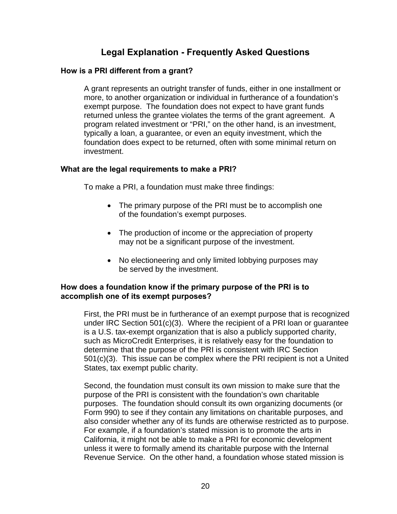# **Legal Explanation - Frequently Asked Questions**

# **How is a PRI different from a grant?**

A grant represents an outright transfer of funds, either in one installment or more, to another organization or individual in furtherance of a foundation's exempt purpose. The foundation does not expect to have grant funds returned unless the grantee violates the terms of the grant agreement. A program related investment or "PRI," on the other hand, is an investment, typically a loan, a guarantee, or even an equity investment, which the foundation does expect to be returned, often with some minimal return on investment.

### **What are the legal requirements to make a PRI?**

To make a PRI, a foundation must make three findings:

- The primary purpose of the PRI must be to accomplish one of the foundation's exempt purposes.
- The production of income or the appreciation of property may not be a significant purpose of the investment.
- No electioneering and only limited lobbying purposes may be served by the investment.

# **How does a foundation know if the primary purpose of the PRI is to accomplish one of its exempt purposes?**

First, the PRI must be in furtherance of an exempt purpose that is recognized under IRC Section 501(c)(3). Where the recipient of a PRI loan or guarantee is a U.S. tax-exempt organization that is also a publicly supported charity, such as MicroCredit Enterprises, it is relatively easy for the foundation to determine that the purpose of the PRI is consistent with IRC Section 501(c)(3). This issue can be complex where the PRI recipient is not a United States, tax exempt public charity.

Second, the foundation must consult its own mission to make sure that the purpose of the PRI is consistent with the foundation's own charitable purposes. The foundation should consult its own organizing documents (or Form 990) to see if they contain any limitations on charitable purposes, and also consider whether any of its funds are otherwise restricted as to purpose. For example, if a foundation's stated mission is to promote the arts in California, it might not be able to make a PRI for economic development unless it were to formally amend its charitable purpose with the Internal Revenue Service. On the other hand, a foundation whose stated mission is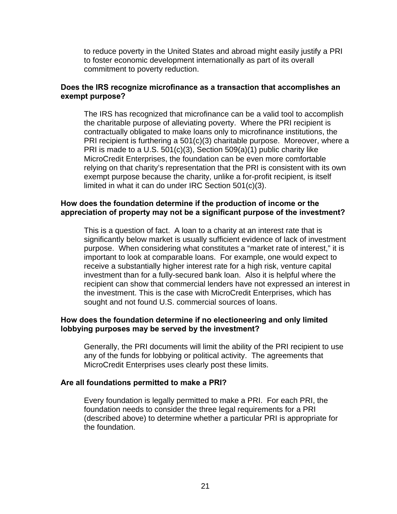to reduce poverty in the United States and abroad might easily justify a PRI to foster economic development internationally as part of its overall commitment to poverty reduction.

### **Does the IRS recognize microfinance as a transaction that accomplishes an exempt purpose?**

The IRS has recognized that microfinance can be a valid tool to accomplish the charitable purpose of alleviating poverty. Where the PRI recipient is contractually obligated to make loans only to microfinance institutions, the PRI recipient is furthering a 501(c)(3) charitable purpose. Moreover, where a PRI is made to a U.S. 501(c)(3), Section 509(a)(1) public charity like MicroCredit Enterprises, the foundation can be even more comfortable relying on that charity's representation that the PRI is consistent with its own exempt purpose because the charity, unlike a for-profit recipient, is itself limited in what it can do under IRC Section 501(c)(3).

### **How does the foundation determine if the production of income or the appreciation of property may not be a significant purpose of the investment?**

This is a question of fact. A loan to a charity at an interest rate that is significantly below market is usually sufficient evidence of lack of investment purpose. When considering what constitutes a "market rate of interest," it is important to look at comparable loans. For example, one would expect to receive a substantially higher interest rate for a high risk, venture capital investment than for a fully-secured bank loan. Also it is helpful where the recipient can show that commercial lenders have not expressed an interest in the investment. This is the case with MicroCredit Enterprises, which has sought and not found U.S. commercial sources of loans.

### **How does the foundation determine if no electioneering and only limited lobbying purposes may be served by the investment?**

Generally, the PRI documents will limit the ability of the PRI recipient to use any of the funds for lobbying or political activity. The agreements that MicroCredit Enterprises uses clearly post these limits.

#### **Are all foundations permitted to make a PRI?**

Every foundation is legally permitted to make a PRI. For each PRI, the foundation needs to consider the three legal requirements for a PRI (described above) to determine whether a particular PRI is appropriate for the foundation.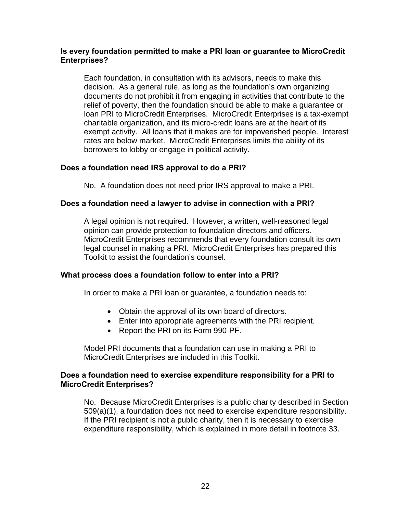# **Is every foundation permitted to make a PRI loan or guarantee to MicroCredit Enterprises?**

Each foundation, in consultation with its advisors, needs to make this decision. As a general rule, as long as the foundation's own organizing documents do not prohibit it from engaging in activities that contribute to the relief of poverty, then the foundation should be able to make a guarantee or loan PRI to MicroCredit Enterprises. MicroCredit Enterprises is a tax-exempt charitable organization, and its micro-credit loans are at the heart of its exempt activity. All loans that it makes are for impoverished people. Interest rates are below market. MicroCredit Enterprises limits the ability of its borrowers to lobby or engage in political activity.

# **Does a foundation need IRS approval to do a PRI?**

No. A foundation does not need prior IRS approval to make a PRI.

# **Does a foundation need a lawyer to advise in connection with a PRI?**

A legal opinion is not required. However, a written, well-reasoned legal opinion can provide protection to foundation directors and officers. MicroCredit Enterprises recommends that every foundation consult its own legal counsel in making a PRI. MicroCredit Enterprises has prepared this Toolkit to assist the foundation's counsel.

# **What process does a foundation follow to enter into a PRI?**

In order to make a PRI loan or guarantee, a foundation needs to:

- Obtain the approval of its own board of directors.
- Enter into appropriate agreements with the PRI recipient.
- Report the PRI on its Form 990-PF.

Model PRI documents that a foundation can use in making a PRI to MicroCredit Enterprises are included in this Toolkit.

# **Does a foundation need to exercise expenditure responsibility for a PRI to MicroCredit Enterprises?**

No. Because MicroCredit Enterprises is a public charity described in Section 509(a)(1), a foundation does not need to exercise expenditure responsibility. If the PRI recipient is not a public charity, then it is necessary to exercise expenditure responsibility, which is explained in more detail in footnote 33.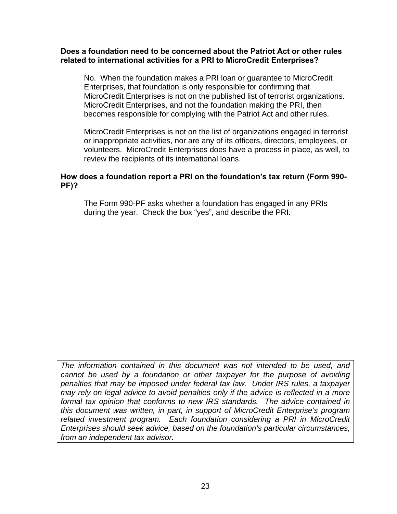### **Does a foundation need to be concerned about the Patriot Act or other rules related to international activities for a PRI to MicroCredit Enterprises?**

No. When the foundation makes a PRI loan or guarantee to MicroCredit Enterprises, that foundation is only responsible for confirming that MicroCredit Enterprises is not on the published list of terrorist organizations. MicroCredit Enterprises, and not the foundation making the PRI, then becomes responsible for complying with the Patriot Act and other rules.

MicroCredit Enterprises is not on the list of organizations engaged in terrorist or inappropriate activities, nor are any of its officers, directors, employees, or volunteers. MicroCredit Enterprises does have a process in place, as well, to review the recipients of its international loans.

# **How does a foundation report a PRI on the foundation's tax return (Form 990- PF)?**

The Form 990-PF asks whether a foundation has engaged in any PRIs during the year. Check the box "yes", and describe the PRI.

*The information contained in this document was not intended to be used, and cannot be used by a foundation or other taxpayer for the purpose of avoiding penalties that may be imposed under federal tax law. Under IRS rules, a taxpayer may rely on legal advice to avoid penalties only if the advice is reflected in a more formal tax opinion that conforms to new IRS standards. The advice contained in this document was written, in part, in support of MicroCredit Enterprise's program related investment program. Each foundation considering a PRI in MicroCredit Enterprises should seek advice, based on the foundation's particular circumstances, from an independent tax advisor.*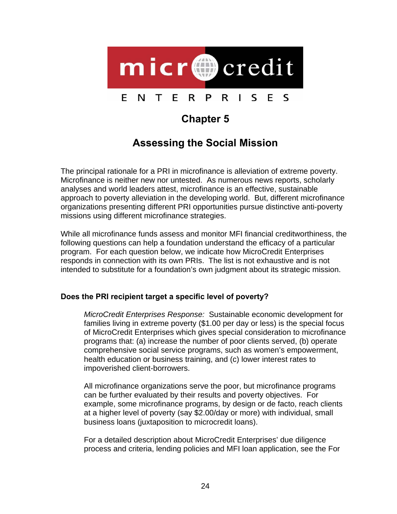

# **Chapter 5**

# **Assessing the Social Mission**

The principal rationale for a PRI in microfinance is alleviation of extreme poverty. Microfinance is neither new nor untested. As numerous news reports, scholarly analyses and world leaders attest, microfinance is an effective, sustainable approach to poverty alleviation in the developing world. But, different microfinance organizations presenting different PRI opportunities pursue distinctive anti-poverty missions using different microfinance strategies.

While all microfinance funds assess and monitor MFI financial creditworthiness, the following questions can help a foundation understand the efficacy of a particular program. For each question below, we indicate how MicroCredit Enterprises responds in connection with its own PRIs. The list is not exhaustive and is not intended to substitute for a foundation's own judgment about its strategic mission.

# **Does the PRI recipient target a specific level of poverty?**

*MicroCredit Enterprises Response:* Sustainable economic development for families living in extreme poverty (\$1.00 per day or less) is the special focus of MicroCredit Enterprises which gives special consideration to microfinance programs that: (a) increase the number of poor clients served, (b) operate comprehensive social service programs, such as women's empowerment, health education or business training, and (c) lower interest rates to impoverished client-borrowers.

All microfinance organizations serve the poor, but microfinance programs can be further evaluated by their results and poverty objectives. For example, some microfinance programs, by design or de facto, reach clients at a higher level of poverty (say \$2.00/day or more) with individual, small business loans (juxtaposition to microcredit loans).

For a detailed description about MicroCredit Enterprises' due diligence process and criteria, lending policies and MFI loan application, see the For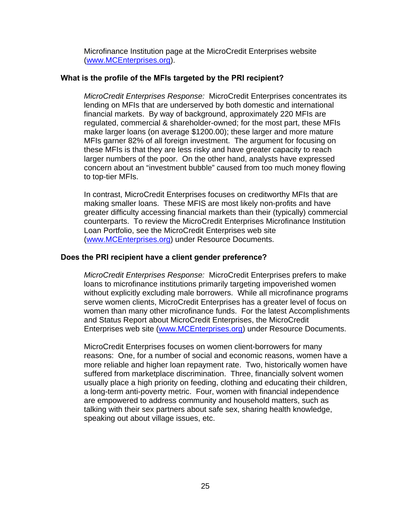Microfinance Institution page at the MicroCredit Enterprises website (www.MCEnterprises.org).

# **What is the profile of the MFIs targeted by the PRI recipient?**

*MicroCredit Enterprises Response:* MicroCredit Enterprises concentrates its lending on MFIs that are underserved by both domestic and international financial markets. By way of background, approximately 220 MFIs are regulated, commercial & shareholder-owned; for the most part, these MFIs make larger loans (on average \$1200.00); these larger and more mature MFIs garner 82% of all foreign investment. The argument for focusing on these MFIs is that they are less risky and have greater capacity to reach larger numbers of the poor. On the other hand, analysts have expressed concern about an "investment bubble" caused from too much money flowing to top-tier MFIs.

In contrast, MicroCredit Enterprises focuses on creditworthy MFIs that are making smaller loans. These MFIS are most likely non-profits and have greater difficulty accessing financial markets than their (typically) commercial counterparts. To review the MicroCredit Enterprises Microfinance Institution Loan Portfolio, see the MicroCredit Enterprises web site (www.MCEnterprises.org) under Resource Documents.

# **Does the PRI recipient have a client gender preference?**

*MicroCredit Enterprises Response:* MicroCredit Enterprises prefers to make loans to microfinance institutions primarily targeting impoverished women without explicitly excluding male borrowers. While all microfinance programs serve women clients, MicroCredit Enterprises has a greater level of focus on women than many other microfinance funds. For the latest Accomplishments and Status Report about MicroCredit Enterprises, the MicroCredit Enterprises web site (www.MCEnterprises.org) under Resource Documents.

MicroCredit Enterprises focuses on women client-borrowers for many reasons: One, for a number of social and economic reasons, women have a more reliable and higher loan repayment rate. Two, historically women have suffered from marketplace discrimination. Three, financially solvent women usually place a high priority on feeding, clothing and educating their children, a long-term anti-poverty metric. Four, women with financial independence are empowered to address community and household matters, such as talking with their sex partners about safe sex, sharing health knowledge, speaking out about village issues, etc.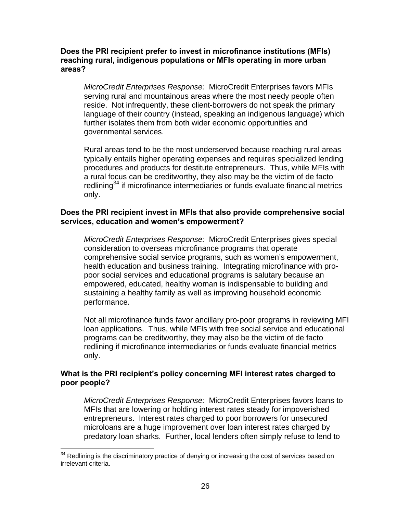### **Does the PRI recipient prefer to invest in microfinance institutions (MFIs) reaching rural, indigenous populations or MFIs operating in more urban areas?**

*MicroCredit Enterprises Response:* MicroCredit Enterprises favors MFIs serving rural and mountainous areas where the most needy people often reside. Not infrequently, these client-borrowers do not speak the primary language of their country (instead, speaking an indigenous language) which further isolates them from both wider economic opportunities and governmental services.

Rural areas tend to be the most underserved because reaching rural areas typically entails higher operating expenses and requires specialized lending procedures and products for destitute entrepreneurs. Thus, while MFIs with a rural focus can be creditworthy, they also may be the victim of de facto redlining<sup>34</sup> if microfinance intermediaries or funds evaluate financial metrics only.

### **Does the PRI recipient invest in MFIs that also provide comprehensive social services, education and women's empowerment?**

*MicroCredit Enterprises Response:* MicroCredit Enterprises gives special consideration to overseas microfinance programs that operate comprehensive social service programs, such as women's empowerment, health education and business training. Integrating microfinance with propoor social services and educational programs is salutary because an empowered, educated, healthy woman is indispensable to building and sustaining a healthy family as well as improving household economic performance.

Not all microfinance funds favor ancillary pro-poor programs in reviewing MFI loan applications. Thus, while MFIs with free social service and educational programs can be creditworthy, they may also be the victim of de facto redlining if microfinance intermediaries or funds evaluate financial metrics only.

# **What is the PRI recipient's policy concerning MFI interest rates charged to poor people?**

*MicroCredit Enterprises Response:* MicroCredit Enterprises favors loans to MFIs that are lowering or holding interest rates steady for impoverished entrepreneurs. Interest rates charged to poor borrowers for unsecured microloans are a huge improvement over loan interest rates charged by predatory loan sharks. Further, local lenders often simply refuse to lend to

l

 $34$  Redlining is the discriminatory practice of denying or increasing the cost of services based on irrelevant criteria.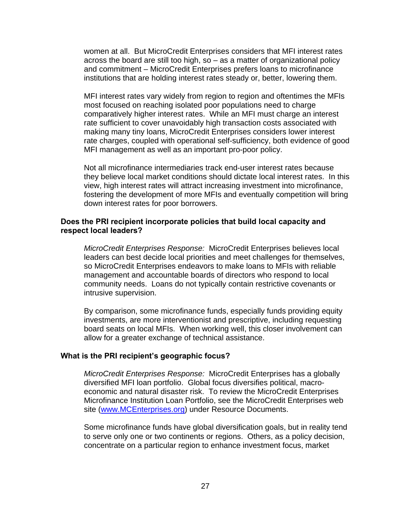women at all. But MicroCredit Enterprises considers that MFI interest rates across the board are still too high, so – as a matter of organizational policy and commitment – MicroCredit Enterprises prefers loans to microfinance institutions that are holding interest rates steady or, better, lowering them.

MFI interest rates vary widely from region to region and oftentimes the MFIs most focused on reaching isolated poor populations need to charge comparatively higher interest rates. While an MFI must charge an interest rate sufficient to cover unavoidably high transaction costs associated with making many tiny loans, MicroCredit Enterprises considers lower interest rate charges, coupled with operational self-sufficiency, both evidence of good MFI management as well as an important pro-poor policy.

Not all microfinance intermediaries track end-user interest rates because they believe local market conditions should dictate local interest rates. In this view, high interest rates will attract increasing investment into microfinance, fostering the development of more MFIs and eventually competition will bring down interest rates for poor borrowers.

### **Does the PRI recipient incorporate policies that build local capacity and respect local leaders?**

*MicroCredit Enterprises Response:* MicroCredit Enterprises believes local leaders can best decide local priorities and meet challenges for themselves, so MicroCredit Enterprises endeavors to make loans to MFIs with reliable management and accountable boards of directors who respond to local community needs. Loans do not typically contain restrictive covenants or intrusive supervision.

By comparison, some microfinance funds, especially funds providing equity investments, are more interventionist and prescriptive, including requesting board seats on local MFIs. When working well, this closer involvement can allow for a greater exchange of technical assistance.

#### **What is the PRI recipient's geographic focus?**

*MicroCredit Enterprises Response:* MicroCredit Enterprises has a globally diversified MFI loan portfolio. Global focus diversifies political, macroeconomic and natural disaster risk. To review the MicroCredit Enterprises Microfinance Institution Loan Portfolio, see the MicroCredit Enterprises web site (www.MCEnterprises.org) under Resource Documents.

Some microfinance funds have global diversification goals, but in reality tend to serve only one or two continents or regions. Others, as a policy decision, concentrate on a particular region to enhance investment focus, market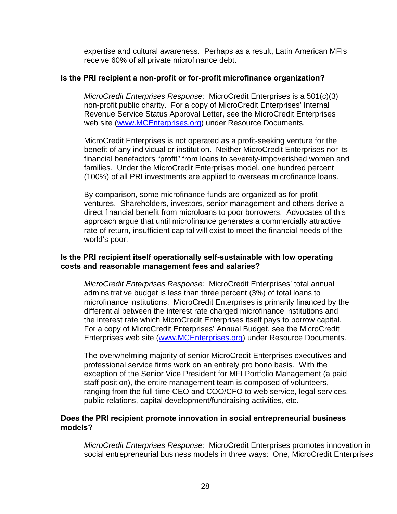expertise and cultural awareness. Perhaps as a result, Latin American MFIs receive 60% of all private microfinance debt.

### **Is the PRI recipient a non-profit or for-profit microfinance organization?**

*MicroCredit Enterprises Response:* MicroCredit Enterprises is a 501(c)(3) non-profit public charity. For a copy of MicroCredit Enterprises' Internal Revenue Service Status Approval Letter, see the MicroCredit Enterprises web site (www.MCEnterprises.org) under Resource Documents.

MicroCredit Enterprises is not operated as a profit-seeking venture for the benefit of any individual or institution. Neither MicroCredit Enterprises nor its financial benefactors "profit" from loans to severely-impoverished women and families. Under the MicroCredit Enterprises model, one hundred percent (100%) of all PRI investments are applied to overseas microfinance loans.

By comparison, some microfinance funds are organized as for-profit ventures. Shareholders, investors, senior management and others derive a direct financial benefit from microloans to poor borrowers. Advocates of this approach argue that until microfinance generates a commercially attractive rate of return, insufficient capital will exist to meet the financial needs of the world's poor.

# **Is the PRI recipient itself operationally self-sustainable with low operating costs and reasonable management fees and salaries?**

*MicroCredit Enterprises Response:* MicroCredit Enterprises' total annual adminsitrative budget is less than three percent (3%) of total loans to microfinance institutions. MicroCredit Enterprises is primarily financed by the differential between the interest rate charged microfinance institutions and the interest rate which MicroCredit Enterprises itself pays to borrow capital. For a copy of MicroCredit Enterprises' Annual Budget, see the MicroCredit Enterprises web site (www.MCEnterprises.org) under Resource Documents.

The overwhelming majority of senior MicroCredit Enterprises executives and professional service firms work on an entirely pro bono basis. With the exception of the Senior Vice President for MFI Portfolio Management (a paid staff position), the entire management team is composed of volunteers, ranging from the full-time CEO and COO/CFO to web service, legal services, public relations, capital development/fundraising activities, etc.

# **Does the PRI recipient promote innovation in social entrepreneurial business models?**

*MicroCredit Enterprises Response:* MicroCredit Enterprises promotes innovation in social entrepreneurial business models in three ways: One, MicroCredit Enterprises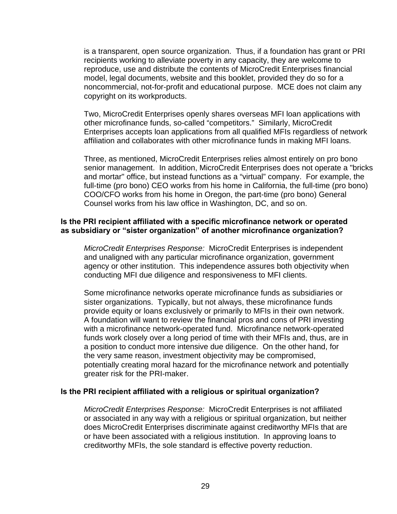is a transparent, open source organization. Thus, if a foundation has grant or PRI recipients working to alleviate poverty in any capacity, they are welcome to reproduce, use and distribute the contents of MicroCredit Enterprises financial model, legal documents, website and this booklet, provided they do so for a noncommercial, not-for-profit and educational purpose. MCE does not claim any copyright on its workproducts.

Two, MicroCredit Enterprises openly shares overseas MFI loan applications with other microfinance funds, so-called "competitors." Similarly, MicroCredit Enterprises accepts loan applications from all qualified MFIs regardless of network affiliation and collaborates with other microfinance funds in making MFI loans.

Three, as mentioned, MicroCredit Enterprises relies almost entirely on pro bono senior management. In addition, MicroCredit Enterprises does not operate a "bricks and mortar" office, but instead functions as a "virtual" company. For example, the full-time (pro bono) CEO works from his home in California, the full-time (pro bono) COO/CFO works from his home in Oregon, the part-time (pro bono) General Counsel works from his law office in Washington, DC, and so on.

# **Is the PRI recipient affiliated with a specific microfinance network or operated as subsidiary or "sister organization" of another microfinance organization?**

*MicroCredit Enterprises Response:* MicroCredit Enterprises is independent and unaligned with any particular microfinance organization, government agency or other institution. This independence assures both objectivity when conducting MFI due diligence and responsiveness to MFI clients.

Some microfinance networks operate microfinance funds as subsidiaries or sister organizations. Typically, but not always, these microfinance funds provide equity or loans exclusively or primarily to MFIs in their own network. A foundation will want to review the financial pros and cons of PRI investing with a microfinance network-operated fund. Microfinance network-operated funds work closely over a long period of time with their MFIs and, thus, are in a position to conduct more intensive due diligence. On the other hand, for the very same reason, investment objectivity may be compromised, potentially creating moral hazard for the microfinance network and potentially greater risk for the PRI-maker.

#### **Is the PRI recipient affiliated with a religious or spiritual organization?**

*MicroCredit Enterprises Response:* MicroCredit Enterprises is not affiliated or associated in any way with a religious or spiritual organization, but neither does MicroCredit Enterprises discriminate against creditworthy MFIs that are or have been associated with a religious institution. In approving loans to creditworthy MFIs, the sole standard is effective poverty reduction.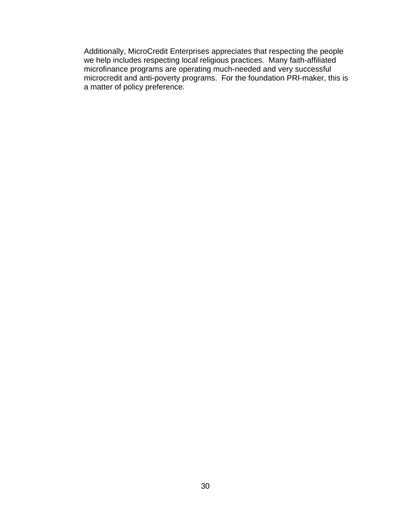Additionally, MicroCredit Enterprises appreciates that respecting the people we help includes respecting local religious practices. Many faith-affiliated microfinance programs are operating much-needed and very successful microcredit and anti-poverty programs. For the foundation PRI-maker, this is a matter of policy preference.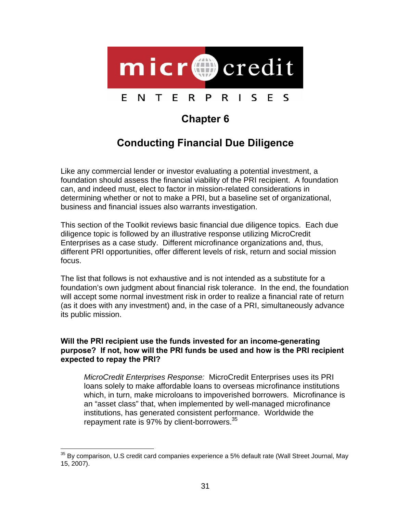

# **Chapter 6**

# **Conducting Financial Due Diligence**

Like any commercial lender or investor evaluating a potential investment, a foundation should assess the financial viability of the PRI recipient. A foundation can, and indeed must, elect to factor in mission-related considerations in determining whether or not to make a PRI, but a baseline set of organizational, business and financial issues also warrants investigation.

This section of the Toolkit reviews basic financial due diligence topics. Each due diligence topic is followed by an illustrative response utilizing MicroCredit Enterprises as a case study. Different microfinance organizations and, thus, different PRI opportunities, offer different levels of risk, return and social mission focus.

The list that follows is not exhaustive and is not intended as a substitute for a foundation's own judgment about financial risk tolerance. In the end, the foundation will accept some normal investment risk in order to realize a financial rate of return (as it does with any investment) and, in the case of a PRI, simultaneously advance its public mission.

# **Will the PRI recipient use the funds invested for an income-generating purpose? If not, how will the PRI funds be used and how is the PRI recipient expected to repay the PRI?**

*MicroCredit Enterprises Response:* MicroCredit Enterprises uses its PRI loans solely to make affordable loans to overseas microfinance institutions which, in turn, make microloans to impoverished borrowers. Microfinance is an "asset class" that, when implemented by well-managed microfinance institutions, has generated consistent performance. Worldwide the repayment rate is 97% by client-borrowers.<sup>35</sup>

l

 $35$  By comparison, U.S credit card companies experience a 5% default rate (Wall Street Journal, May 15, 2007).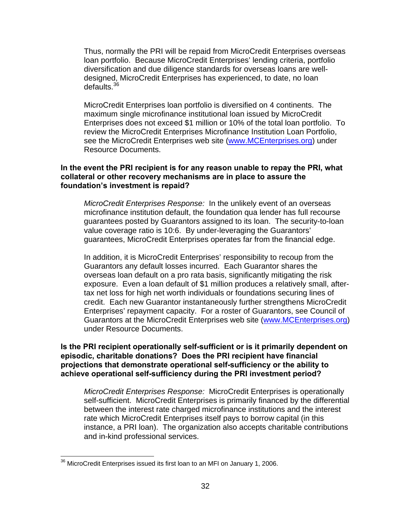Thus, normally the PRI will be repaid from MicroCredit Enterprises overseas loan portfolio. Because MicroCredit Enterprises' lending criteria, portfolio diversification and due diligence standards for overseas loans are welldesigned, MicroCredit Enterprises has experienced, to date, no loan defaults.<sup>36</sup>

MicroCredit Enterprises loan portfolio is diversified on 4 continents. The maximum single microfinance institutional loan issued by MicroCredit Enterprises does not exceed \$1 million or 10% of the total loan portfolio. To review the MicroCredit Enterprises Microfinance Institution Loan Portfolio, see the MicroCredit Enterprises web site (www.MCEnterprises.org) under Resource Documents.

### **In the event the PRI recipient is for any reason unable to repay the PRI, what collateral or other recovery mechanisms are in place to assure the foundation's investment is repaid?**

*MicroCredit Enterprises Response:* In the unlikely event of an overseas microfinance institution default, the foundation qua lender has full recourse guarantees posted by Guarantors assigned to its loan. The security-to-loan value coverage ratio is 10:6. By under-leveraging the Guarantors' guarantees, MicroCredit Enterprises operates far from the financial edge.

In addition, it is MicroCredit Enterprises' responsibility to recoup from the Guarantors any default losses incurred. Each Guarantor shares the overseas loan default on a pro rata basis, significantly mitigating the risk exposure. Even a loan default of \$1 million produces a relatively small, aftertax net loss for high net worth individuals or foundations securing lines of credit. Each new Guarantor instantaneously further strengthens MicroCredit Enterprises' repayment capacity. For a roster of Guarantors, see Council of Guarantors at the MicroCredit Enterprises web site (www.MCEnterprises.org) under Resource Documents.

**Is the PRI recipient operationally self-sufficient or is it primarily dependent on episodic, charitable donations? Does the PRI recipient have financial projections that demonstrate operational self-sufficiency or the ability to achieve operational self-sufficiency during the PRI investment period?** 

*MicroCredit Enterprises Response:* MicroCredit Enterprises is operationally self-sufficient. MicroCredit Enterprises is primarily financed by the differential between the interest rate charged microfinance institutions and the interest rate which MicroCredit Enterprises itself pays to borrow capital (in this instance, a PRI loan). The organization also accepts charitable contributions and in-kind professional services.

l  $36$  MicroCredit Enterprises issued its first loan to an MFI on January 1, 2006.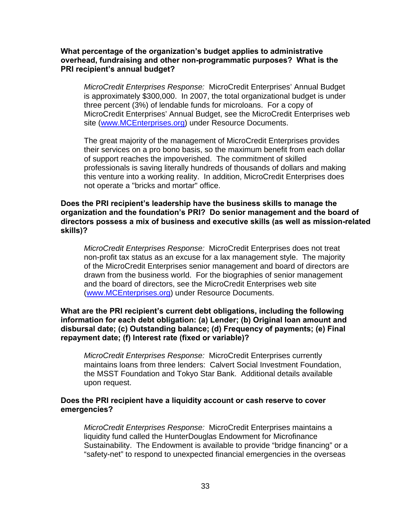# **What percentage of the organization's budget applies to administrative overhead, fundraising and other non-programmatic purposes? What is the PRI recipient's annual budget?**

*MicroCredit Enterprises Response:* MicroCredit Enterprises' Annual Budget is approximately \$300,000. In 2007, the total organizational budget is under three percent (3%) of lendable funds for microloans. For a copy of MicroCredit Enterprises' Annual Budget, see the MicroCredit Enterprises web site (www.MCEnterprises.org) under Resource Documents.

The great majority of the management of MicroCredit Enterprises provides their services on a pro bono basis, so the maximum benefit from each dollar of support reaches the impoverished. The commitment of skilled professionals is saving literally hundreds of thousands of dollars and making this venture into a working reality. In addition, MicroCredit Enterprises does not operate a "bricks and mortar" office.

### **Does the PRI recipient's leadership have the business skills to manage the organization and the foundation's PRI? Do senior management and the board of directors possess a mix of business and executive skills (as well as mission-related skills)?**

*MicroCredit Enterprises Response:* MicroCredit Enterprises does not treat non-profit tax status as an excuse for a lax management style. The majority of the MicroCredit Enterprises senior management and board of directors are drawn from the business world. For the biographies of senior management and the board of directors, see the MicroCredit Enterprises web site (www.MCEnterprises.org) under Resource Documents.

# **What are the PRI recipient's current debt obligations, including the following information for each debt obligation: (a) Lender; (b) Original loan amount and disbursal date; (c) Outstanding balance; (d) Frequency of payments; (e) Final repayment date; (f) Interest rate (fixed or variable)?**

*MicroCredit Enterprises Response:* MicroCredit Enterprises currently maintains loans from three lenders: Calvert Social Investment Foundation, the MSST Foundation and Tokyo Star Bank. Additional details available upon request.

# **Does the PRI recipient have a liquidity account or cash reserve to cover emergencies?**

*MicroCredit Enterprises Response:* MicroCredit Enterprises maintains a liquidity fund called the HunterDouglas Endowment for Microfinance Sustainability. The Endowment is available to provide "bridge financing" or a "safety-net" to respond to unexpected financial emergencies in the overseas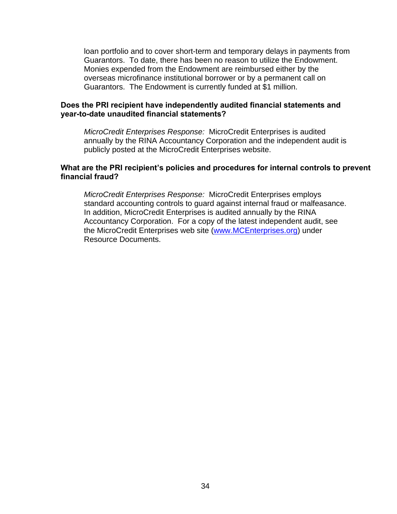loan portfolio and to cover short-term and temporary delays in payments from Guarantors. To date, there has been no reason to utilize the Endowment. Monies expended from the Endowment are reimbursed either by the overseas microfinance institutional borrower or by a permanent call on Guarantors. The Endowment is currently funded at \$1 million.

### **Does the PRI recipient have independently audited financial statements and year-to-date unaudited financial statements?**

*MicroCredit Enterprises Response:* MicroCredit Enterprises is audited annually by the RINA Accountancy Corporation and the independent audit is publicly posted at the MicroCredit Enterprises website.

#### **What are the PRI recipient's policies and procedures for internal controls to prevent financial fraud?**

*MicroCredit Enterprises Response:* MicroCredit Enterprises employs standard accounting controls to guard against internal fraud or malfeasance. In addition, MicroCredit Enterprises is audited annually by the RINA Accountancy Corporation. For a copy of the latest independent audit, see the MicroCredit Enterprises web site (www.MCEnterprises.org) under Resource Documents.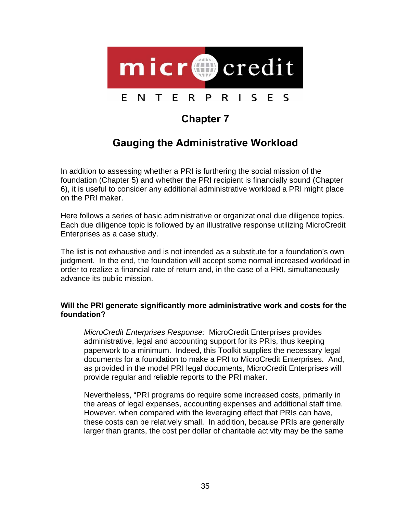

# **Chapter 7**

# **Gauging the Administrative Workload**

In addition to assessing whether a PRI is furthering the social mission of the foundation (Chapter 5) and whether the PRI recipient is financially sound (Chapter 6), it is useful to consider any additional administrative workload a PRI might place on the PRI maker.

Here follows a series of basic administrative or organizational due diligence topics. Each due diligence topic is followed by an illustrative response utilizing MicroCredit Enterprises as a case study.

The list is not exhaustive and is not intended as a substitute for a foundation's own judgment. In the end, the foundation will accept some normal increased workload in order to realize a financial rate of return and, in the case of a PRI, simultaneously advance its public mission.

# **Will the PRI generate significantly more administrative work and costs for the foundation?**

*MicroCredit Enterprises Response:* MicroCredit Enterprises provides administrative, legal and accounting support for its PRIs, thus keeping paperwork to a minimum. Indeed, this Toolkit supplies the necessary legal documents for a foundation to make a PRI to MicroCredit Enterprises. And, as provided in the model PRI legal documents, MicroCredit Enterprises will provide regular and reliable reports to the PRI maker.

Nevertheless, "PRI programs do require some increased costs, primarily in the areas of legal expenses, accounting expenses and additional staff time. However, when compared with the leveraging effect that PRIs can have, these costs can be relatively small. In addition, because PRIs are generally larger than grants, the cost per dollar of charitable activity may be the same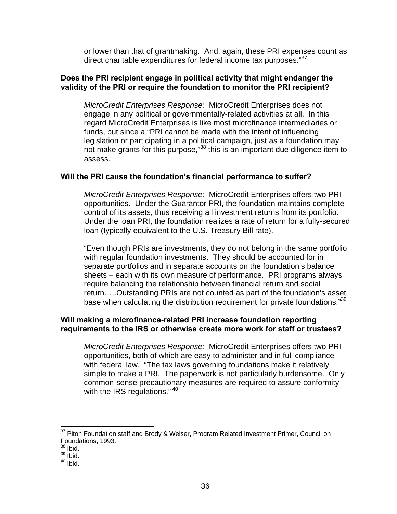or lower than that of grantmaking. And, again, these PRI expenses count as direct charitable expenditures for federal income tax purposes."<sup>37</sup>

#### **Does the PRI recipient engage in political activity that might endanger the validity of the PRI or require the foundation to monitor the PRI recipient?**

*MicroCredit Enterprises Response:* MicroCredit Enterprises does not engage in any political or governmentally-related activities at all. In this regard MicroCredit Enterprises is like most microfinance intermediaries or funds, but since a "PRI cannot be made with the intent of influencing legislation or participating in a political campaign, just as a foundation may not make grants for this purpose,"<sup>38</sup> this is an important due diligence item to assess.

### **Will the PRI cause the foundation's financial performance to suffer?**

*MicroCredit Enterprises Response:* MicroCredit Enterprises offers two PRI opportunities. Under the Guarantor PRI, the foundation maintains complete control of its assets, thus receiving all investment returns from its portfolio. Under the loan PRI, the foundation realizes a rate of return for a fully-secured loan (typically equivalent to the U.S. Treasury Bill rate).

"Even though PRIs are investments, they do not belong in the same portfolio with regular foundation investments. They should be accounted for in separate portfolios and in separate accounts on the foundation's balance sheets – each with its own measure of performance. PRI programs always require balancing the relationship between financial return and social return…..Outstanding PRIs are not counted as part of the foundation's asset base when calculating the distribution requirement for private foundations."<sup>39</sup>

### **Will making a microfinance-related PRI increase foundation reporting requirements to the IRS or otherwise create more work for staff or trustees?**

*MicroCredit Enterprises Response:* MicroCredit Enterprises offers two PRI opportunities, both of which are easy to administer and in full compliance with federal law. "The tax laws governing foundations make it relatively simple to make a PRI. The paperwork is not particularly burdensome. Only common-sense precautionary measures are required to assure conformity with the IRS regulations." $40$ 

l

 $37$  Piton Foundation staff and Brody & Weiser, Program Related Investment Primer, Council on Foundations, 1993.

 $38$  Ibid.

 $39$  lbid.

 $40$  Ibid.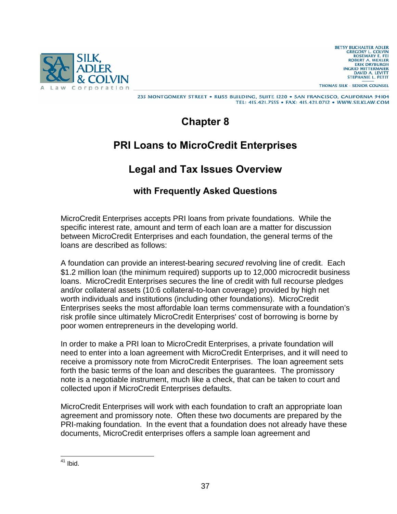

**BETSY BUCHALTER ADLER GREGORY L. COLVIN<br>ROSEMARY E. FEI** ROBERT A. WEXLER<br>ERIK DRYBURGH **INGRID MITTERMAIER** DAVID A. LEVITT STEPHANIE L. PETIT

THOMAS SILK - SENIOR COUNSEL

235 MONTGOMERY STREET . RUSS BUILDING, SUITE 1220 . SAN FRANCISCO, CALIFORNIA 94104 TEL: 415.421.7555 · FAX: 415.421.0712 · WWW.SILKLAW.COM

**Chapter 8** 

# **PRI Loans to MicroCredit Enterprises**

# **Legal and Tax Issues Overview**

# **with Frequently Asked Questions**

MicroCredit Enterprises accepts PRI loans from private foundations. While the specific interest rate, amount and term of each loan are a matter for discussion between MicroCredit Enterprises and each foundation, the general terms of the loans are described as follows:

A foundation can provide an interest-bearing *secured* revolving line of credit. Each \$1.2 million loan (the minimum required) supports up to 12,000 microcredit business loans. MicroCredit Enterprises secures the line of credit with full recourse pledges and/or collateral assets (10:6 collateral-to-loan coverage) provided by high net worth individuals and institutions (including other foundations). MicroCredit Enterprises seeks the most affordable loan terms commensurate with a foundation's risk profile since ultimately MicroCredit Enterprises' cost of borrowing is borne by poor women entrepreneurs in the developing world.

In order to make a PRI loan to MicroCredit Enterprises, a private foundation will need to enter into a loan agreement with MicroCredit Enterprises, and it will need to receive a promissory note from MicroCredit Enterprises. The loan agreement sets forth the basic terms of the loan and describes the guarantees. The promissory note is a negotiable instrument, much like a check, that can be taken to court and collected upon if MicroCredit Enterprises defaults.

MicroCredit Enterprises will work with each foundation to craft an appropriate loan agreement and promissory note. Often these two documents are prepared by the PRI-making foundation. In the event that a foundation does not already have these documents, MicroCredit enterprises offers a sample loan agreement and

l  $41$  Ibid.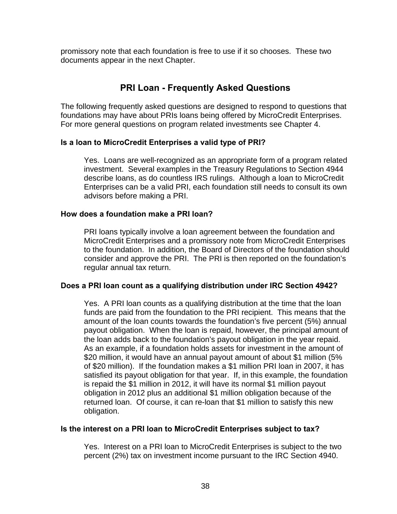promissory note that each foundation is free to use if it so chooses. These two documents appear in the next Chapter.

# **PRI Loan - Frequently Asked Questions**

The following frequently asked questions are designed to respond to questions that foundations may have about PRIs loans being offered by MicroCredit Enterprises. For more general questions on program related investments see Chapter 4.

### **Is a loan to MicroCredit Enterprises a valid type of PRI?**

Yes. Loans are well-recognized as an appropriate form of a program related investment. Several examples in the Treasury Regulations to Section 4944 describe loans, as do countless IRS rulings. Although a loan to MicroCredit Enterprises can be a valid PRI, each foundation still needs to consult its own advisors before making a PRI.

### **How does a foundation make a PRI loan?**

PRI loans typically involve a loan agreement between the foundation and MicroCredit Enterprises and a promissory note from MicroCredit Enterprises to the foundation. In addition, the Board of Directors of the foundation should consider and approve the PRI. The PRI is then reported on the foundation's regular annual tax return.

### **Does a PRI loan count as a qualifying distribution under IRC Section 4942?**

Yes. A PRI loan counts as a qualifying distribution at the time that the loan funds are paid from the foundation to the PRI recipient. This means that the amount of the loan counts towards the foundation's five percent (5%) annual payout obligation. When the loan is repaid, however, the principal amount of the loan adds back to the foundation's payout obligation in the year repaid. As an example, if a foundation holds assets for investment in the amount of \$20 million, it would have an annual payout amount of about \$1 million (5% of \$20 million). If the foundation makes a \$1 million PRI loan in 2007, it has satisfied its payout obligation for that year. If, in this example, the foundation is repaid the \$1 million in 2012, it will have its normal \$1 million payout obligation in 2012 plus an additional \$1 million obligation because of the returned loan. Of course, it can re-loan that \$1 million to satisfy this new obligation.

### **Is the interest on a PRI loan to MicroCredit Enterprises subject to tax?**

Yes. Interest on a PRI loan to MicroCredit Enterprises is subject to the two percent (2%) tax on investment income pursuant to the IRC Section 4940.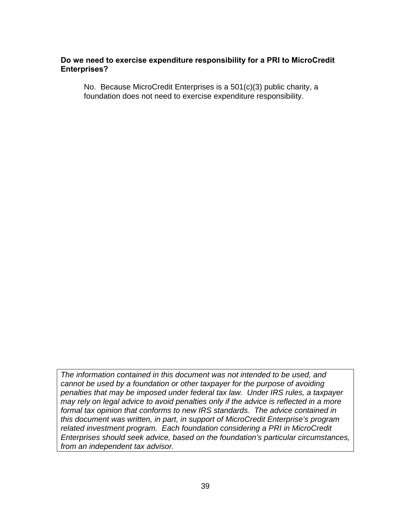### **Do we need to exercise expenditure responsibility for a PRI to MicroCredit Enterprises?**

No. Because MicroCredit Enterprises is a 501(c)(3) public charity, a foundation does not need to exercise expenditure responsibility.

*The information contained in this document was not intended to be used, and cannot be used by a foundation or other taxpayer for the purpose of avoiding penalties that may be imposed under federal tax law. Under IRS rules, a taxpayer may rely on legal advice to avoid penalties only if the advice is reflected in a more formal tax opinion that conforms to new IRS standards. The advice contained in this document was written, in part, in support of MicroCredit Enterprise's program related investment program. Each foundation considering a PRI in MicroCredit Enterprises should seek advice, based on the foundation's particular circumstances, from an independent tax advisor.*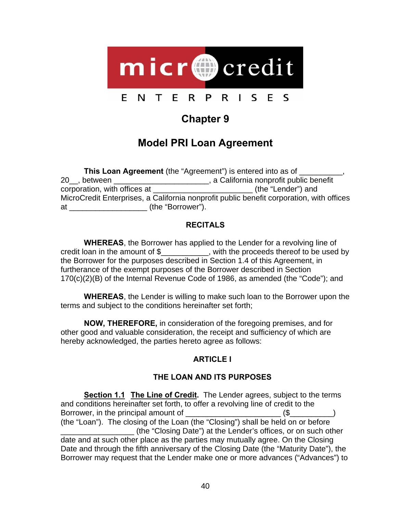

# **Chapter 9**

# **Model PRI Loan Agreement**

| This Loan Agreement (the "Agreement") is entered into as of                              |                                         |  |
|------------------------------------------------------------------------------------------|-----------------------------------------|--|
| 20, between                                                                              | , a California nonprofit public benefit |  |
| corporation, with offices at                                                             | (the "Lender") and                      |  |
| MicroCredit Enterprises, a California nonprofit public benefit corporation, with offices |                                         |  |
| (the "Borrower").<br>at                                                                  |                                         |  |

### **RECITALS**

**WHEREAS**, the Borrower has applied to the Lender for a revolving line of credit loan in the amount of \$\_\_\_\_\_\_\_\_\_\_\_, with the proceeds thereof to be used by the Borrower for the purposes described in Section 1.4 of this Agreement, in furtherance of the exempt purposes of the Borrower described in Section 170(c)(2)(B) of the Internal Revenue Code of 1986, as amended (the "Code"); and

**WHEREAS**, the Lender is willing to make such loan to the Borrower upon the terms and subject to the conditions hereinafter set forth;

**NOW, THEREFORE,** in consideration of the foregoing premises, and for other good and valuable consideration, the receipt and sufficiency of which are hereby acknowledged, the parties hereto agree as follows:

# **ARTICLE I**

# **THE LOAN AND ITS PURPOSES**

**Section 1.1 The Line of Credit.** The Lender agrees, subject to the terms and conditions hereinafter set forth, to offer a revolving line of credit to the Borrower, in the principal amount of \_\_\_\_\_\_\_\_\_\_\_\_\_\_\_\_\_\_\_\_\_\_ (\$\_\_\_\_\_\_\_\_\_\_) (the "Loan"). The closing of the Loan (the "Closing") shall be held on or before \_\_\_\_\_\_\_\_\_\_\_\_\_\_\_\_\_ (the "Closing Date") at the Lender's offices, or on such other date and at such other place as the parties may mutually agree. On the Closing Date and through the fifth anniversary of the Closing Date (the "Maturity Date"), the Borrower may request that the Lender make one or more advances ("Advances") to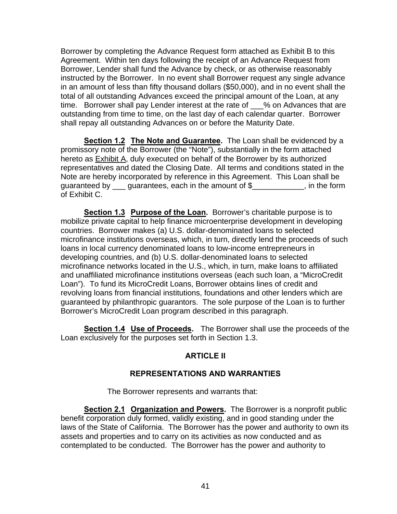Borrower by completing the Advance Request form attached as Exhibit B to this Agreement. Within ten days following the receipt of an Advance Request from Borrower, Lender shall fund the Advance by check, or as otherwise reasonably instructed by the Borrower. In no event shall Borrower request any single advance in an amount of less than fifty thousand dollars (\$50,000), and in no event shall the total of all outstanding Advances exceed the principal amount of the Loan, at any time. Borrower shall pay Lender interest at the rate of \_\_\_% on Advances that are outstanding from time to time, on the last day of each calendar quarter. Borrower shall repay all outstanding Advances on or before the Maturity Date.

**Section 1.2 The Note and Guarantee.** The Loan shall be evidenced by a promissory note of the Borrower (the "Note"), substantially in the form attached hereto as Exhibit A, duly executed on behalf of the Borrower by its authorized representatives and dated the Closing Date. All terms and conditions stated in the Note are hereby incorporated by reference in this Agreement. This Loan shall be guaranteed by guarantees, each in the amount of \$, in the form of Exhibit C.

**Section 1.3 Purpose of the Loan.** Borrower's charitable purpose is to mobilize private capital to help finance microenterprise development in developing countries. Borrower makes (a) U.S. dollar-denominated loans to selected microfinance institutions overseas, which, in turn, directly lend the proceeds of such loans in local currency denominated loans to low-income entrepreneurs in developing countries, and (b) U.S. dollar-denominated loans to selected microfinance networks located in the U.S., which, in turn, make loans to affiliated and unaffiliated microfinance institutions overseas (each such loan, a "MicroCredit Loan"). To fund its MicroCredit Loans, Borrower obtains lines of credit and revolving loans from financial institutions, foundations and other lenders which are guaranteed by philanthropic guarantors. The sole purpose of the Loan is to further Borrower's MicroCredit Loan program described in this paragraph.

**Section 1.4 Use of Proceeds.** The Borrower shall use the proceeds of the Loan exclusively for the purposes set forth in Section 1.3.

### **ARTICLE II**

### **REPRESENTATIONS AND WARRANTIES**

The Borrower represents and warrants that:

**Section 2.1 Organization and Powers.** The Borrower is a nonprofit public benefit corporation duly formed, validly existing, and in good standing under the laws of the State of California. The Borrower has the power and authority to own its assets and properties and to carry on its activities as now conducted and as contemplated to be conducted. The Borrower has the power and authority to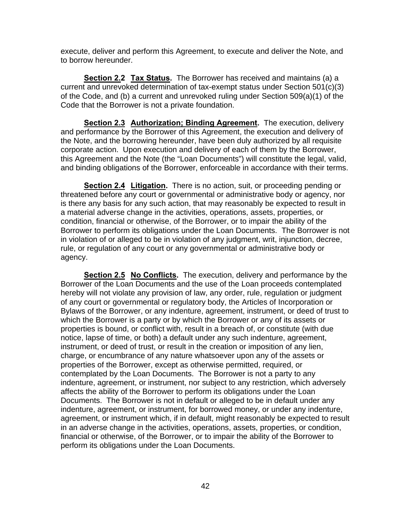execute, deliver and perform this Agreement, to execute and deliver the Note, and to borrow hereunder.

**Section 2.2 Tax Status.** The Borrower has received and maintains (a) a current and unrevoked determination of tax-exempt status under Section 501(c)(3) of the Code, and (b) a current and unrevoked ruling under Section 509(a)(1) of the Code that the Borrower is not a private foundation.

**Section 2.3 Authorization; Binding Agreement.** The execution, delivery and performance by the Borrower of this Agreement, the execution and delivery of the Note, and the borrowing hereunder, have been duly authorized by all requisite corporate action. Upon execution and delivery of each of them by the Borrower, this Agreement and the Note (the "Loan Documents") will constitute the legal, valid, and binding obligations of the Borrower, enforceable in accordance with their terms.

**Section 2.4 Litigation.** There is no action, suit, or proceeding pending or threatened before any court or governmental or administrative body or agency, nor is there any basis for any such action, that may reasonably be expected to result in a material adverse change in the activities, operations, assets, properties, or condition, financial or otherwise, of the Borrower, or to impair the ability of the Borrower to perform its obligations under the Loan Documents. The Borrower is not in violation of or alleged to be in violation of any judgment, writ, injunction, decree, rule, or regulation of any court or any governmental or administrative body or agency.

**Section 2.5 No Conflicts.** The execution, delivery and performance by the Borrower of the Loan Documents and the use of the Loan proceeds contemplated hereby will not violate any provision of law, any order, rule, regulation or judgment of any court or governmental or regulatory body, the Articles of Incorporation or Bylaws of the Borrower, or any indenture, agreement, instrument, or deed of trust to which the Borrower is a party or by which the Borrower or any of its assets or properties is bound, or conflict with, result in a breach of, or constitute (with due notice, lapse of time, or both) a default under any such indenture, agreement, instrument, or deed of trust, or result in the creation or imposition of any lien, charge, or encumbrance of any nature whatsoever upon any of the assets or properties of the Borrower, except as otherwise permitted, required, or contemplated by the Loan Documents. The Borrower is not a party to any indenture, agreement, or instrument, nor subject to any restriction, which adversely affects the ability of the Borrower to perform its obligations under the Loan Documents. The Borrower is not in default or alleged to be in default under any indenture, agreement, or instrument, for borrowed money, or under any indenture, agreement, or instrument which, if in default, might reasonably be expected to result in an adverse change in the activities, operations, assets, properties, or condition, financial or otherwise, of the Borrower, or to impair the ability of the Borrower to perform its obligations under the Loan Documents.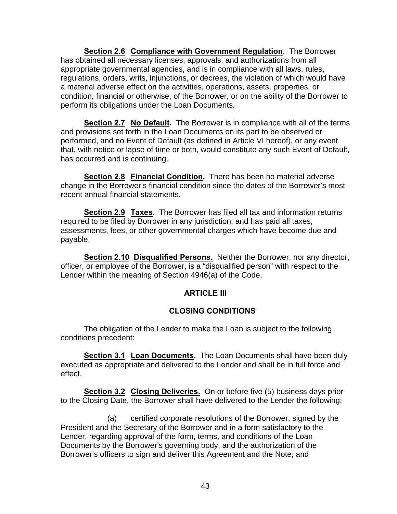**Section 2.6 Compliance with Government Regulation**. The Borrower has obtained all necessary licenses, approvals, and authorizations from all appropriate governmental agencies, and is in compliance with all laws, rules, regulations, orders, writs, injunctions, or decrees, the violation of which would have a material adverse effect on the activities, operations, assets, properties, or condition, financial or otherwise, of the Borrower, or on the ability of the Borrower to perform its obligations under the Loan Documents.

**Section 2.7 No Default.** The Borrower is in compliance with all of the terms and provisions set forth in the Loan Documents on its part to be observed or performed, and no Event of Default (as defined in Article VI hereof), or any event that, with notice or lapse of time or both, would constitute any such Event of Default, has occurred and is continuing.

**Section 2.8 Financial Condition.** There has been no material adverse change in the Borrower's financial condition since the dates of the Borrower's most recent annual financial statements.

**Section 2.9 Taxes.** The Borrower has filed all tax and information returns required to be filed by Borrower in any jurisdiction, and has paid all taxes, assessments, fees, or other governmental charges which have become due and payable.

**Section 2.10 Disqualified Persons.** Neither the Borrower, nor any director, officer, or employee of the Borrower, is a "disqualified person" with respect to the Lender within the meaning of Section 4946(a) of the Code.

### **ARTICLE III**

### **CLOSING CONDITIONS**

 The obligation of the Lender to make the Loan is subject to the following conditions precedent:

**Section 3.1 Loan Documents.** The Loan Documents shall have been duly executed as appropriate and delivered to the Lender and shall be in full force and effect.

**Section 3.2 Closing Deliveries.** On or before five (5) business days prior to the Closing Date, the Borrower shall have delivered to the Lender the following:

 (a) certified corporate resolutions of the Borrower, signed by the President and the Secretary of the Borrower and in a form satisfactory to the Lender, regarding approval of the form, terms, and conditions of the Loan Documents by the Borrower's governing body, and the authorization of the Borrower's officers to sign and deliver this Agreement and the Note; and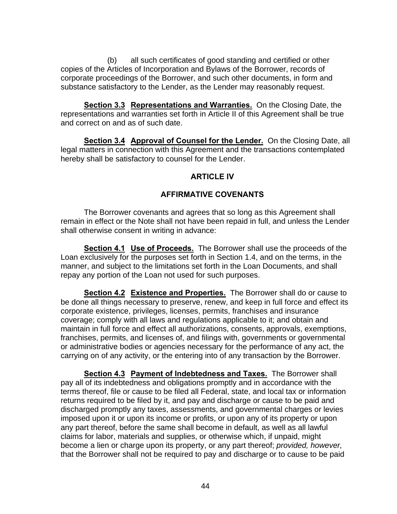(b) all such certificates of good standing and certified or other copies of the Articles of Incorporation and Bylaws of the Borrower, records of corporate proceedings of the Borrower, and such other documents, in form and substance satisfactory to the Lender, as the Lender may reasonably request.

**Section 3.3 Representations and Warranties.** On the Closing Date, the representations and warranties set forth in Article II of this Agreement shall be true and correct on and as of such date.

**Section 3.4 Approval of Counsel for the Lender.** On the Closing Date, all legal matters in connection with this Agreement and the transactions contemplated hereby shall be satisfactory to counsel for the Lender.

### **ARTICLE IV**

### **AFFIRMATIVE COVENANTS**

 The Borrower covenants and agrees that so long as this Agreement shall remain in effect or the Note shall not have been repaid in full, and unless the Lender shall otherwise consent in writing in advance:

**Section 4.1 Use of Proceeds.** The Borrower shall use the proceeds of the Loan exclusively for the purposes set forth in Section 1.4, and on the terms, in the manner, and subject to the limitations set forth in the Loan Documents, and shall repay any portion of the Loan not used for such purposes.

**Section 4.2 Existence and Properties.** The Borrower shall do or cause to be done all things necessary to preserve, renew, and keep in full force and effect its corporate existence, privileges, licenses, permits, franchises and insurance coverage; comply with all laws and regulations applicable to it; and obtain and maintain in full force and effect all authorizations, consents, approvals, exemptions, franchises, permits, and licenses of, and filings with, governments or governmental or administrative bodies or agencies necessary for the performance of any act, the carrying on of any activity, or the entering into of any transaction by the Borrower.

**Section 4.3 Payment of Indebtedness and Taxes.** The Borrower shall pay all of its indebtedness and obligations promptly and in accordance with the terms thereof, file or cause to be filed all Federal, state, and local tax or information returns required to be filed by it, and pay and discharge or cause to be paid and discharged promptly any taxes, assessments, and governmental charges or levies imposed upon it or upon its income or profits, or upon any of its property or upon any part thereof, before the same shall become in default, as well as all lawful claims for labor, materials and supplies, or otherwise which, if unpaid, might become a lien or charge upon its property, or any part thereof; *provided, however,* that the Borrower shall not be required to pay and discharge or to cause to be paid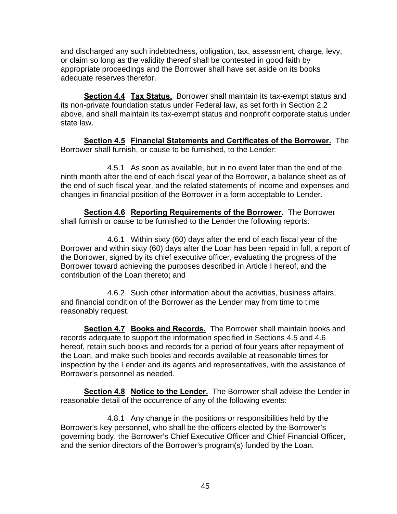and discharged any such indebtedness, obligation, tax, assessment, charge, levy, or claim so long as the validity thereof shall be contested in good faith by appropriate proceedings and the Borrower shall have set aside on its books adequate reserves therefor.

**Section 4.4 Tax Status.** Borrower shall maintain its tax-exempt status and its non-private foundation status under Federal law, as set forth in Section 2.2 above, and shall maintain its tax-exempt status and nonprofit corporate status under state law.

**Section 4.5 Financial Statements and Certificates of the Borrower.** The Borrower shall furnish, or cause to be furnished, to the Lender:

 4.5.1 As soon as available, but in no event later than the end of the ninth month after the end of each fiscal year of the Borrower, a balance sheet as of the end of such fiscal year, and the related statements of income and expenses and changes in financial position of the Borrower in a form acceptable to Lender.

**Section 4.6 Reporting Requirements of the Borrower.** The Borrower shall furnish or cause to be furnished to the Lender the following reports:

 4.6.1 Within sixty (60) days after the end of each fiscal year of the Borrower and within sixty (60) days after the Loan has been repaid in full, a report of the Borrower, signed by its chief executive officer, evaluating the progress of the Borrower toward achieving the purposes described in Article I hereof, and the contribution of the Loan thereto; and

 4.6.2 Such other information about the activities, business affairs, and financial condition of the Borrower as the Lender may from time to time reasonably request.

**Section 4.7 Books and Records.** The Borrower shall maintain books and records adequate to support the information specified in Sections 4.5 and 4.6 hereof, retain such books and records for a period of four years after repayment of the Loan, and make such books and records available at reasonable times for inspection by the Lender and its agents and representatives, with the assistance of Borrower's personnel as needed.

**Section 4.8 Notice to the Lender.** The Borrower shall advise the Lender in reasonable detail of the occurrence of any of the following events:

 4.8.1 Any change in the positions or responsibilities held by the Borrower's key personnel, who shall be the officers elected by the Borrower's governing body, the Borrower's Chief Executive Officer and Chief Financial Officer, and the senior directors of the Borrower's program(s) funded by the Loan.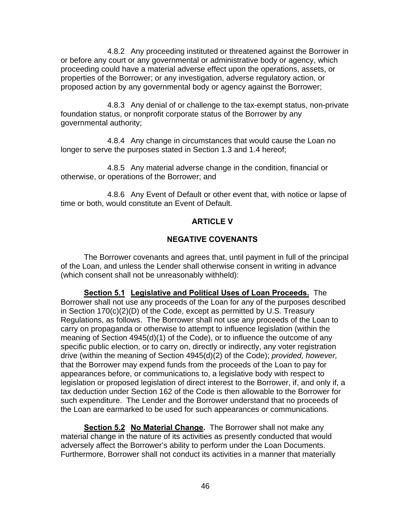4.8.2 Any proceeding instituted or threatened against the Borrower in or before any court or any governmental or administrative body or agency, which proceeding could have a material adverse effect upon the operations, assets, or properties of the Borrower; or any investigation, adverse regulatory action, or proposed action by any governmental body or agency against the Borrower;

 4.8.3 Any denial of or challenge to the tax-exempt status, non-private foundation status, or nonprofit corporate status of the Borrower by any governmental authority;

 4.8.4 Any change in circumstances that would cause the Loan no longer to serve the purposes stated in Section 1.3 and 1.4 hereof;

 4.8.5 Any material adverse change in the condition, financial or otherwise, or operations of the Borrower; and

 4.8.6 Any Event of Default or other event that, with notice or lapse of time or both, would constitute an Event of Default.

### **ARTICLE V**

### **NEGATIVE COVENANTS**

 The Borrower covenants and agrees that, until payment in full of the principal of the Loan, and unless the Lender shall otherwise consent in writing in advance (which consent shall not be unreasonably withheld):

**Section 5.1 Legislative and Political Uses of Loan Proceeds.** The Borrower shall not use any proceeds of the Loan for any of the purposes described in Section 170(c)(2)(D) of the Code, except as permitted by U.S. Treasury Regulations, as follows. The Borrower shall not use any proceeds of the Loan to carry on propaganda or otherwise to attempt to influence legislation (within the meaning of Section 4945(d)(1) of the Code), or to influence the outcome of any specific public election, or to carry on, directly or indirectly, any voter registration drive (within the meaning of Section 4945(d)(2) of the Code); *provided, however,* that the Borrower may expend funds from the proceeds of the Loan to pay for appearances before, or communications to, a legislative body with respect to legislation or proposed legislation of direct interest to the Borrower, if, and only if, a tax deduction under Section 162 of the Code is then allowable to the Borrower for such expenditure. The Lender and the Borrower understand that no proceeds of the Loan are earmarked to be used for such appearances or communications.

**Section 5.2 No Material Change.** The Borrower shall not make any material change in the nature of its activities as presently conducted that would adversely affect the Borrower's ability to perform under the Loan Documents. Furthermore, Borrower shall not conduct its activities in a manner that materially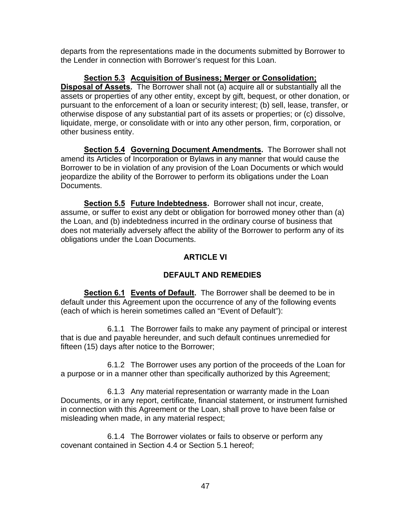departs from the representations made in the documents submitted by Borrower to the Lender in connection with Borrower's request for this Loan.

**Section 5.3 Acquisition of Business; Merger or Consolidation; Disposal of Assets.** The Borrower shall not (a) acquire all or substantially all the assets or properties of any other entity, except by gift, bequest, or other donation, or pursuant to the enforcement of a loan or security interest; (b) sell, lease, transfer, or otherwise dispose of any substantial part of its assets or properties; or (c) dissolve, liquidate, merge, or consolidate with or into any other person, firm, corporation, or other business entity.

**Section 5.4 Governing Document Amendments.** The Borrower shall not amend its Articles of Incorporation or Bylaws in any manner that would cause the Borrower to be in violation of any provision of the Loan Documents or which would jeopardize the ability of the Borrower to perform its obligations under the Loan Documents.

**Section 5.5 Future Indebtedness.** Borrower shall not incur, create, assume, or suffer to exist any debt or obligation for borrowed money other than (a) the Loan, and (b) indebtedness incurred in the ordinary course of business that does not materially adversely affect the ability of the Borrower to perform any of its obligations under the Loan Documents.

### **ARTICLE VI**

### **DEFAULT AND REMEDIES**

**Section 6.1 Events of Default.** The Borrower shall be deemed to be in default under this Agreement upon the occurrence of any of the following events (each of which is herein sometimes called an "Event of Default"):

 6.1.1 The Borrower fails to make any payment of principal or interest that is due and payable hereunder, and such default continues unremedied for fifteen (15) days after notice to the Borrower;

 6.1.2 The Borrower uses any portion of the proceeds of the Loan for a purpose or in a manner other than specifically authorized by this Agreement;

 6.1.3 Any material representation or warranty made in the Loan Documents, or in any report, certificate, financial statement, or instrument furnished in connection with this Agreement or the Loan, shall prove to have been false or misleading when made, in any material respect;

 6.1.4 The Borrower violates or fails to observe or perform any covenant contained in Section 4.4 or Section 5.1 hereof;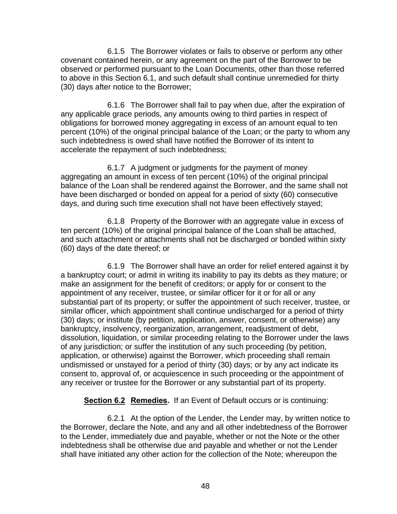6.1.5 The Borrower violates or fails to observe or perform any other covenant contained herein, or any agreement on the part of the Borrower to be observed or performed pursuant to the Loan Documents, other than those referred to above in this Section 6.1, and such default shall continue unremedied for thirty (30) days after notice to the Borrower;

 6.1.6 The Borrower shall fail to pay when due, after the expiration of any applicable grace periods, any amounts owing to third parties in respect of obligations for borrowed money aggregating in excess of an amount equal to ten percent (10%) of the original principal balance of the Loan; or the party to whom any such indebtedness is owed shall have notified the Borrower of its intent to accelerate the repayment of such indebtedness;

 6.1.7 A judgment or judgments for the payment of money aggregating an amount in excess of ten percent (10%) of the original principal balance of the Loan shall be rendered against the Borrower, and the same shall not have been discharged or bonded on appeal for a period of sixty (60) consecutive days, and during such time execution shall not have been effectively stayed;

 6.1.8 Property of the Borrower with an aggregate value in excess of ten percent (10%) of the original principal balance of the Loan shall be attached, and such attachment or attachments shall not be discharged or bonded within sixty (60) days of the date thereof; or

 6.1.9 The Borrower shall have an order for relief entered against it by a bankruptcy court; or admit in writing its inability to pay its debts as they mature; or make an assignment for the benefit of creditors; or apply for or consent to the appointment of any receiver, trustee, or similar officer for it or for all or any substantial part of its property; or suffer the appointment of such receiver, trustee, or similar officer, which appointment shall continue undischarged for a period of thirty (30) days; or institute (by petition, application, answer, consent, or otherwise) any bankruptcy, insolvency, reorganization, arrangement, readjustment of debt, dissolution, liquidation, or similar proceeding relating to the Borrower under the laws of any jurisdiction; or suffer the institution of any such proceeding (by petition, application, or otherwise) against the Borrower, which proceeding shall remain undismissed or unstayed for a period of thirty (30) days; or by any act indicate its consent to, approval of, or acquiescence in such proceeding or the appointment of any receiver or trustee for the Borrower or any substantial part of its property.

**Section 6.2 Remedies.** If an Event of Default occurs or is continuing:

 6.2.1 At the option of the Lender, the Lender may, by written notice to the Borrower, declare the Note, and any and all other indebtedness of the Borrower to the Lender, immediately due and payable, whether or not the Note or the other indebtedness shall be otherwise due and payable and whether or not the Lender shall have initiated any other action for the collection of the Note; whereupon the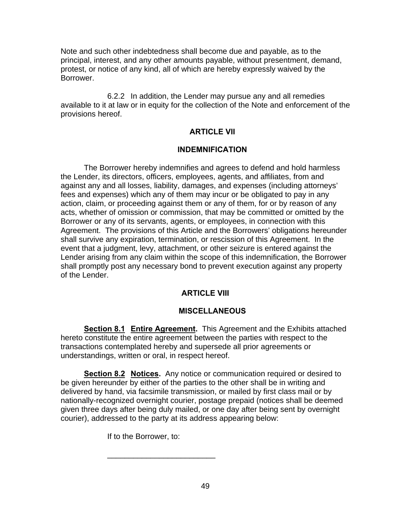Note and such other indebtedness shall become due and payable, as to the principal, interest, and any other amounts payable, without presentment, demand, protest, or notice of any kind, all of which are hereby expressly waived by the Borrower.

 6.2.2 In addition, the Lender may pursue any and all remedies available to it at law or in equity for the collection of the Note and enforcement of the provisions hereof.

### **ARTICLE VII**

#### **INDEMNIFICATION**

 The Borrower hereby indemnifies and agrees to defend and hold harmless the Lender, its directors, officers, employees, agents, and affiliates, from and against any and all losses, liability, damages, and expenses (including attorneys' fees and expenses) which any of them may incur or be obligated to pay in any action, claim, or proceeding against them or any of them, for or by reason of any acts, whether of omission or commission, that may be committed or omitted by the Borrower or any of its servants, agents, or employees, in connection with this Agreement. The provisions of this Article and the Borrowers' obligations hereunder shall survive any expiration, termination, or rescission of this Agreement. In the event that a judgment, levy, attachment, or other seizure is entered against the Lender arising from any claim within the scope of this indemnification, the Borrower shall promptly post any necessary bond to prevent execution against any property of the Lender.

### **ARTICLE VIII**

### **MISCELLANEOUS**

**Section 8.1 Entire Agreement.** This Agreement and the Exhibits attached hereto constitute the entire agreement between the parties with respect to the transactions contemplated hereby and supersede all prior agreements or understandings, written or oral, in respect hereof.

**Section 8.2 Notices.** Any notice or communication required or desired to be given hereunder by either of the parties to the other shall be in writing and delivered by hand, via facsimile transmission, or mailed by first class mail or by nationally-recognized overnight courier, postage prepaid (notices shall be deemed given three days after being duly mailed, or one day after being sent by overnight courier), addressed to the party at its address appearing below:

If to the Borrower, to:

 $\frac{1}{2}$  ,  $\frac{1}{2}$  ,  $\frac{1}{2}$  ,  $\frac{1}{2}$  ,  $\frac{1}{2}$  ,  $\frac{1}{2}$  ,  $\frac{1}{2}$  ,  $\frac{1}{2}$  ,  $\frac{1}{2}$  ,  $\frac{1}{2}$  ,  $\frac{1}{2}$  ,  $\frac{1}{2}$  ,  $\frac{1}{2}$  ,  $\frac{1}{2}$  ,  $\frac{1}{2}$  ,  $\frac{1}{2}$  ,  $\frac{1}{2}$  ,  $\frac{1}{2}$  ,  $\frac{1$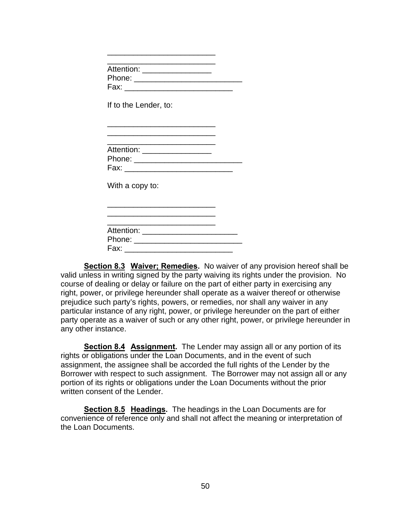|      | Attention: ___________________          |  |
|------|-----------------------------------------|--|
|      |                                         |  |
|      | Fax: ______________________________     |  |
|      | If to the Lender, to:                   |  |
|      |                                         |  |
|      | Attention: ___________________          |  |
|      | Phone: ___________________________      |  |
|      | Fax: _______________________________    |  |
|      | With a copy to:                         |  |
|      |                                         |  |
|      | Attention: ____________________________ |  |
|      |                                         |  |
| Fax: |                                         |  |

 $\frac{1}{2}$  ,  $\frac{1}{2}$  ,  $\frac{1}{2}$  ,  $\frac{1}{2}$  ,  $\frac{1}{2}$  ,  $\frac{1}{2}$  ,  $\frac{1}{2}$  ,  $\frac{1}{2}$  ,  $\frac{1}{2}$  ,  $\frac{1}{2}$  ,  $\frac{1}{2}$  ,  $\frac{1}{2}$  ,  $\frac{1}{2}$  ,  $\frac{1}{2}$  ,  $\frac{1}{2}$  ,  $\frac{1}{2}$  ,  $\frac{1}{2}$  ,  $\frac{1}{2}$  ,  $\frac{1$ 

**Section 8.3 Waiver; Remedies.** No waiver of any provision hereof shall be valid unless in writing signed by the party waiving its rights under the provision. No course of dealing or delay or failure on the part of either party in exercising any right, power, or privilege hereunder shall operate as a waiver thereof or otherwise prejudice such party's rights, powers, or remedies, nor shall any waiver in any particular instance of any right, power, or privilege hereunder on the part of either party operate as a waiver of such or any other right, power, or privilege hereunder in any other instance.

**Section 8.4 Assignment.** The Lender may assign all or any portion of its rights or obligations under the Loan Documents, and in the event of such assignment, the assignee shall be accorded the full rights of the Lender by the Borrower with respect to such assignment. The Borrower may not assign all or any portion of its rights or obligations under the Loan Documents without the prior written consent of the Lender.

**Section 8.5 Headings.** The headings in the Loan Documents are for convenience of reference only and shall not affect the meaning or interpretation of the Loan Documents.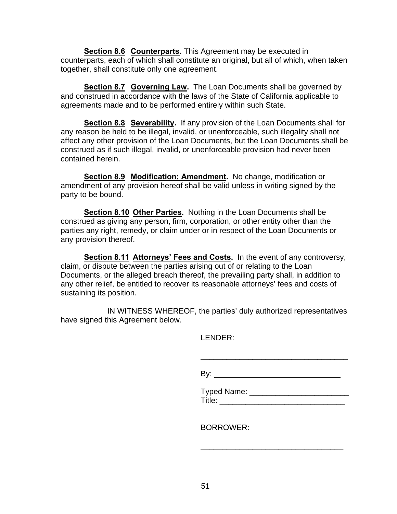**Section 8.6 Counterparts.** This Agreement may be executed in counterparts, each of which shall constitute an original, but all of which, when taken together, shall constitute only one agreement.

**Section 8.7 Governing Law.** The Loan Documents shall be governed by and construed in accordance with the laws of the State of California applicable to agreements made and to be performed entirely within such State.

**Section 8.8 Severability.** If any provision of the Loan Documents shall for any reason be held to be illegal, invalid, or unenforceable, such illegality shall not affect any other provision of the Loan Documents, but the Loan Documents shall be construed as if such illegal, invalid, or unenforceable provision had never been contained herein.

**Section 8.9 Modification; Amendment.** No change, modification or amendment of any provision hereof shall be valid unless in writing signed by the party to be bound.

**Section 8.10 Other Parties.** Nothing in the Loan Documents shall be construed as giving any person, firm, corporation, or other entity other than the parties any right, remedy, or claim under or in respect of the Loan Documents or any provision thereof.

**Section 8.11 Attorneys' Fees and Costs.** In the event of any controversy, claim, or dispute between the parties arising out of or relating to the Loan Documents, or the alleged breach thereof, the prevailing party shall, in addition to any other relief, be entitled to recover its reasonable attorneys' fees and costs of sustaining its position.

 IN WITNESS WHEREOF, the parties' duly authorized representatives have signed this Agreement below.

 $\frac{1}{\sqrt{2\pi}}$  , which is a set of the set of the set of the set of the set of the set of the set of the set of the set of the set of the set of the set of the set of the set of the set of the set of the set of the set of

LENDER:

By:

 Typed Name: \_\_\_\_\_\_\_\_\_\_\_\_\_\_\_\_\_\_\_\_\_\_\_ Title: \_\_\_\_\_\_\_\_\_\_\_\_\_\_\_\_\_\_\_\_\_\_\_\_\_\_\_\_\_

BORROWER:

 $\overline{\phantom{a}}$  , and the contract of the contract of the contract of the contract of the contract of the contract of the contract of the contract of the contract of the contract of the contract of the contract of the contrac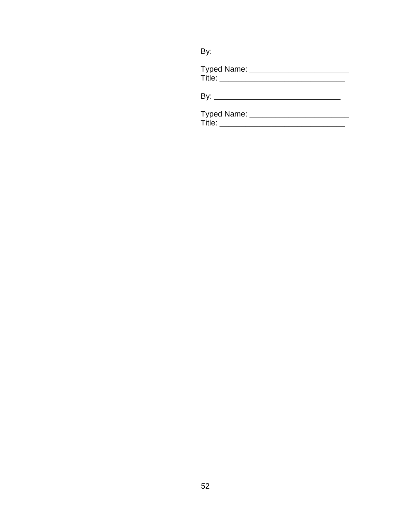| By: $\overline{\phantom{a}}$ |  |
|------------------------------|--|
|                              |  |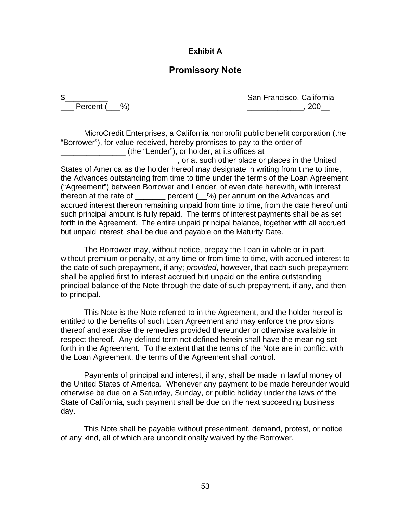### **Exhibit A**

### **Promissory Note**

\$\_\_\_\_\_\_\_\_\_\_ San Francisco, California  $\frac{1}{200}$ , 200 $\frac{1}{200}$ 

 MicroCredit Enterprises, a California nonprofit public benefit corporation (the "Borrower"), for value received, hereby promises to pay to the order of \_\_\_\_\_\_\_\_\_\_\_\_\_\_\_ (the "Lender"), or holder, at its offices at \_\_\_\_\_\_\_\_\_\_\_\_\_\_\_\_\_\_\_\_\_\_\_\_\_\_\_, or at such other place or places in the United States of America as the holder hereof may designate in writing from time to time, the Advances outstanding from time to time under the terms of the Loan Agreement ("Agreement") between Borrower and Lender, of even date herewith, with interest thereon at the rate of \_\_\_\_\_\_\_ percent (\_\_%) per annum on the Advances and accrued interest thereon remaining unpaid from time to time, from the date hereof until such principal amount is fully repaid. The terms of interest payments shall be as set forth in the Agreement. The entire unpaid principal balance, together with all accrued but unpaid interest, shall be due and payable on the Maturity Date.

 The Borrower may, without notice, prepay the Loan in whole or in part, without premium or penalty, at any time or from time to time, with accrued interest to the date of such prepayment, if any; *provided*, however, that each such prepayment shall be applied first to interest accrued but unpaid on the entire outstanding principal balance of the Note through the date of such prepayment, if any, and then to principal.

 This Note is the Note referred to in the Agreement, and the holder hereof is entitled to the benefits of such Loan Agreement and may enforce the provisions thereof and exercise the remedies provided thereunder or otherwise available in respect thereof. Any defined term not defined herein shall have the meaning set forth in the Agreement. To the extent that the terms of the Note are in conflict with the Loan Agreement, the terms of the Agreement shall control.

Payments of principal and interest, if any, shall be made in lawful money of the United States of America. Whenever any payment to be made hereunder would otherwise be due on a Saturday, Sunday, or public holiday under the laws of the State of California, such payment shall be due on the next succeeding business day.

 This Note shall be payable without presentment, demand, protest, or notice of any kind, all of which are unconditionally waived by the Borrower.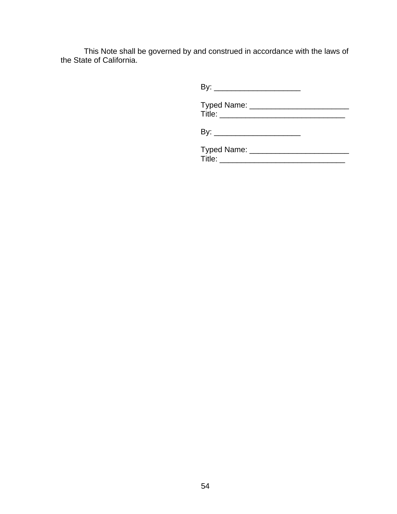This Note shall be governed by and construed in accordance with the laws of the State of California.

| <b>Typed Name:</b> |
|--------------------|
| Title:             |

| <b>Typed Name:</b> |
|--------------------|
| ⊺itle:             |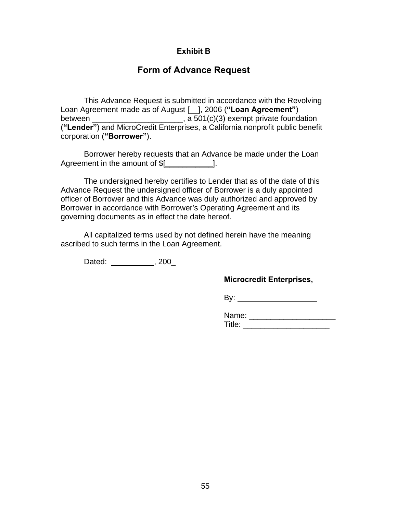### **Exhibit B**

### **Form of Advance Request**

 This Advance Request is submitted in accordance with the Revolving Loan Agreement made as of August [\_\_], 2006 (**"Loan Agreement"**) between  $\frac{1}{\sqrt{1-\frac{1}{2}}}\frac{1}{\sqrt{1-\frac{1}{2}}}\frac{1}{\sqrt{1-\frac{1}{2}}}\frac{1}{\sqrt{1-\frac{1}{2}}}\frac{1}{\sqrt{1-\frac{1}{2}}}\frac{1}{\sqrt{1-\frac{1}{2}}}\frac{1}{\sqrt{1-\frac{1}{2}}}\frac{1}{\sqrt{1-\frac{1}{2}}}\frac{1}{\sqrt{1-\frac{1}{2}}}\frac{1}{\sqrt{1-\frac{1}{2}}}\frac{1}{\sqrt{1-\frac{1}{2}}}\frac{1}{\sqrt{1-\frac{1}{2}}}\frac{1}{\sqrt{1-\frac{1}{2}}}\frac{1$ (**"Lender"**) and MicroCredit Enterprises, a California nonprofit public benefit corporation (**"Borrower"**).

 Borrower hereby requests that an Advance be made under the Loan Agreement in the amount of  $[$ 

 The undersigned hereby certifies to Lender that as of the date of this Advance Request the undersigned officer of Borrower is a duly appointed officer of Borrower and this Advance was duly authorized and approved by Borrower in accordance with Borrower's Operating Agreement and its governing documents as in effect the date hereof.

 All capitalized terms used by not defined herein have the meaning ascribed to such terms in the Loan Agreement.

Dated: 1, 200\_

### **Microcredit Enterprises,**

By:

| Name:  |  |
|--------|--|
| ∙⊿Titl |  |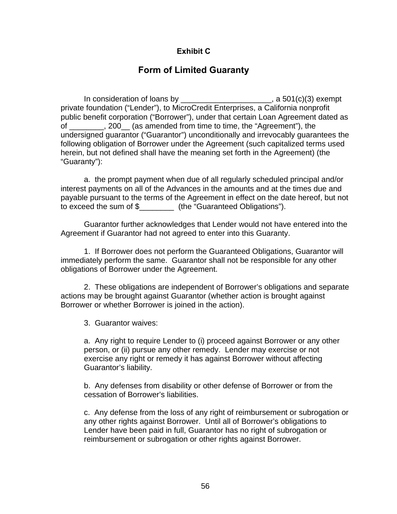### **Exhibit C**

# **Form of Limited Guaranty**

In consideration of loans by  $\frac{1}{2}$   $\frac{1}{2}$   $\frac{1}{2}$   $\frac{1}{2}$   $\frac{1}{2}$   $\frac{1}{2}$   $\frac{1}{2}$   $\frac{1}{2}$   $\frac{1}{2}$   $\frac{1}{2}$   $\frac{1}{2}$   $\frac{1}{2}$   $\frac{1}{2}$   $\frac{1}{2}$   $\frac{1}{2}$   $\frac{1}{2}$   $\frac{1}{2}$   $\frac{1}{2}$   $\frac{1}{2}$   $\$ private foundation ("Lender"), to MicroCredit Enterprises, a California nonprofit public benefit corporation ("Borrower"), under that certain Loan Agreement dated as of \_\_\_\_\_\_\_\_, 200\_\_ (as amended from time to time, the "Agreement"), the undersigned guarantor ("Guarantor") unconditionally and irrevocably guarantees the following obligation of Borrower under the Agreement (such capitalized terms used herein, but not defined shall have the meaning set forth in the Agreement) (the "Guaranty"):

 a. the prompt payment when due of all regularly scheduled principal and/or interest payments on all of the Advances in the amounts and at the times due and payable pursuant to the terms of the Agreement in effect on the date hereof, but not to exceed the sum of \$\_\_\_\_\_\_\_\_ (the "Guaranteed Obligations").

 Guarantor further acknowledges that Lender would not have entered into the Agreement if Guarantor had not agreed to enter into this Guaranty.

 1. If Borrower does not perform the Guaranteed Obligations, Guarantor will immediately perform the same. Guarantor shall not be responsible for any other obligations of Borrower under the Agreement.

 2. These obligations are independent of Borrower's obligations and separate actions may be brought against Guarantor (whether action is brought against Borrower or whether Borrower is joined in the action).

3. Guarantor waives:

a. Any right to require Lender to (i) proceed against Borrower or any other person, or (ii) pursue any other remedy. Lender may exercise or not exercise any right or remedy it has against Borrower without affecting Guarantor's liability.

b. Any defenses from disability or other defense of Borrower or from the cessation of Borrower's liabilities.

c. Any defense from the loss of any right of reimbursement or subrogation or any other rights against Borrower. Until all of Borrower's obligations to Lender have been paid in full, Guarantor has no right of subrogation or reimbursement or subrogation or other rights against Borrower.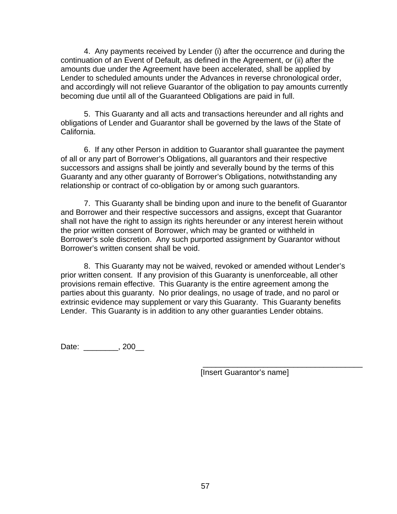4. Any payments received by Lender (i) after the occurrence and during the continuation of an Event of Default, as defined in the Agreement, or (ii) after the amounts due under the Agreement have been accelerated, shall be applied by Lender to scheduled amounts under the Advances in reverse chronological order, and accordingly will not relieve Guarantor of the obligation to pay amounts currently becoming due until all of the Guaranteed Obligations are paid in full.

 5. This Guaranty and all acts and transactions hereunder and all rights and obligations of Lender and Guarantor shall be governed by the laws of the State of California.

 6. If any other Person in addition to Guarantor shall guarantee the payment of all or any part of Borrower's Obligations, all guarantors and their respective successors and assigns shall be jointly and severally bound by the terms of this Guaranty and any other guaranty of Borrower's Obligations, notwithstanding any relationship or contract of co-obligation by or among such guarantors.

 7. This Guaranty shall be binding upon and inure to the benefit of Guarantor and Borrower and their respective successors and assigns, except that Guarantor shall not have the right to assign its rights hereunder or any interest herein without the prior written consent of Borrower, which may be granted or withheld in Borrower's sole discretion. Any such purported assignment by Guarantor without Borrower's written consent shall be void.

 8. This Guaranty may not be waived, revoked or amended without Lender's prior written consent. If any provision of this Guaranty is unenforceable, all other provisions remain effective. This Guaranty is the entire agreement among the parties about this guaranty. No prior dealings, no usage of trade, and no parol or extrinsic evidence may supplement or vary this Guaranty. This Guaranty benefits Lender. This Guaranty is in addition to any other guaranties Lender obtains.

Date: \_\_\_\_\_\_\_\_, 200\_\_

[Insert Guarantor's name]

\_\_\_\_\_\_\_\_\_\_\_\_\_\_\_\_\_\_\_\_\_\_\_\_\_\_\_\_\_\_\_\_\_\_\_\_\_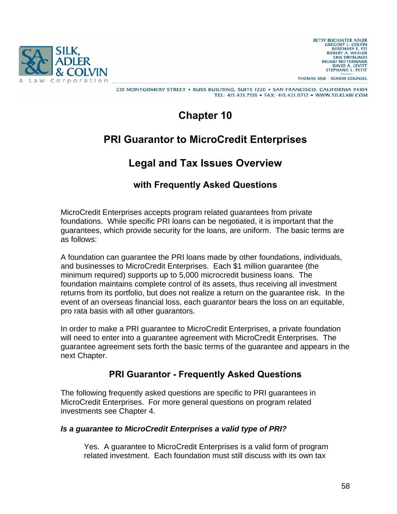

THOMAS SILK - SENIOR COUNSEL

#### 235 MONTGOMERY STREET . RUSS BUILDING, SUITE 1220 . SAN FRANCISCO, CALIFORNIA 94104 TEL: 415.421.7555 · FAX: 415.421.0712 · WWW.SILKLAW.COM

# **Chapter 10**

# **PRI Guarantor to MicroCredit Enterprises**

# **Legal and Tax Issues Overview**

# **with Frequently Asked Questions**

MicroCredit Enterprises accepts program related guarantees from private foundations. While specific PRI loans can be negotiated, it is important that the guarantees, which provide security for the loans, are uniform. The basic terms are as follows:

A foundation can guarantee the PRI loans made by other foundations, individuals, and businesses to MicroCredit Enterprises. Each \$1 million guarantee (the minimum required) supports up to 5,000 microcredit business loans. The foundation maintains complete control of its assets, thus receiving all investment returns from its portfolio, but does not realize a return on the guarantee risk. In the event of an overseas financial loss, each guarantor bears the loss on an equitable, pro rata basis with all other guarantors.

In order to make a PRI guarantee to MicroCredit Enterprises, a private foundation will need to enter into a guarantee agreement with MicroCredit Enterprises. The guarantee agreement sets forth the basic terms of the guarantee and appears in the next Chapter.

# **PRI Guarantor - Frequently Asked Questions**

The following frequently asked questions are specific to PRI guarantees in MicroCredit Enterprises. For more general questions on program related investments see Chapter 4.

### *Is a guarantee to MicroCredit Enterprises a valid type of PRI?*

Yes. A guarantee to MicroCredit Enterprises is a valid form of program related investment. Each foundation must still discuss with its own tax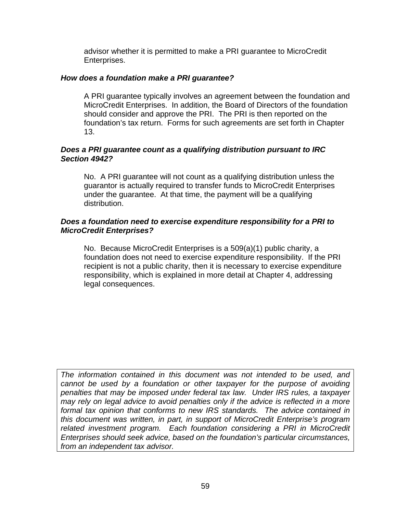advisor whether it is permitted to make a PRI guarantee to MicroCredit Enterprises.

#### *How does a foundation make a PRI guarantee?*

A PRI guarantee typically involves an agreement between the foundation and MicroCredit Enterprises. In addition, the Board of Directors of the foundation should consider and approve the PRI. The PRI is then reported on the foundation's tax return. Forms for such agreements are set forth in Chapter 13.

### *Does a PRI guarantee count as a qualifying distribution pursuant to IRC Section 4942?*

No. A PRI guarantee will not count as a qualifying distribution unless the guarantor is actually required to transfer funds to MicroCredit Enterprises under the guarantee. At that time, the payment will be a qualifying distribution.

### *Does a foundation need to exercise expenditure responsibility for a PRI to MicroCredit Enterprises?*

No. Because MicroCredit Enterprises is a 509(a)(1) public charity, a foundation does not need to exercise expenditure responsibility. If the PRI recipient is not a public charity, then it is necessary to exercise expenditure responsibility, which is explained in more detail at Chapter 4, addressing legal consequences.

*The information contained in this document was not intended to be used, and cannot be used by a foundation or other taxpayer for the purpose of avoiding penalties that may be imposed under federal tax law. Under IRS rules, a taxpayer may rely on legal advice to avoid penalties only if the advice is reflected in a more formal tax opinion that conforms to new IRS standards. The advice contained in this document was written, in part, in support of MicroCredit Enterprise's program related investment program. Each foundation considering a PRI in MicroCredit Enterprises should seek advice, based on the foundation's particular circumstances, from an independent tax advisor.*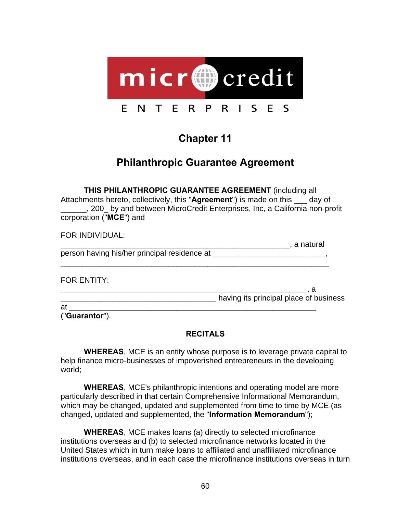

# **Chapter 11**

# **Philanthropic Guarantee Agreement**

**THIS PHILANTHROPIC GUARANTEE AGREEMENT** (including all Attachments hereto, collectively, this "**Agreement**") is made on this \_\_\_ day of \_\_\_\_\_\_, 200\_ by and between MicroCredit Enterprises, Inc, a California non-profit corporation ("**MCE**") and

FOR INDIVIDUAL:  $\blacksquare$  a natural person having his/her principal residence at \_\_\_\_\_\_\_\_\_\_\_\_\_\_\_\_\_\_\_\_\_\_\_\_\_\_, \_\_\_\_\_\_\_\_\_\_\_\_\_\_\_\_\_\_\_\_\_\_\_\_\_\_\_\_\_\_\_\_\_\_\_\_\_\_\_\_\_\_\_\_\_\_\_\_\_\_\_\_\_\_\_\_\_\_\_\_\_\_ FOR ENTITY: \_\_\_\_\_\_\_\_\_\_\_\_\_\_\_\_\_\_\_\_\_\_\_\_\_\_\_\_\_\_\_\_\_\_\_\_\_\_\_\_\_\_\_\_\_\_\_\_\_\_\_\_\_\_\_\_\_, a dentical place of business having its principal place of business  $at$   $\qquad \qquad \qquad$ 

("**Guarantor**").

# **RECITALS**

**WHEREAS**, MCE is an entity whose purpose is to leverage private capital to help finance micro-businesses of impoverished entrepreneurs in the developing world;

**WHEREAS**, MCE's philanthropic intentions and operating model are more particularly described in that certain Comprehensive Informational Memorandum, which may be changed, updated and supplemented from time to time by MCE (as changed, updated and supplemented, the "**Information Memorandum**");

**WHEREAS**, MCE makes loans (a) directly to selected microfinance institutions overseas and (b) to selected microfinance networks located in the United States which in turn make loans to affiliated and unaffiliated microfinance institutions overseas, and in each case the microfinance institutions overseas in turn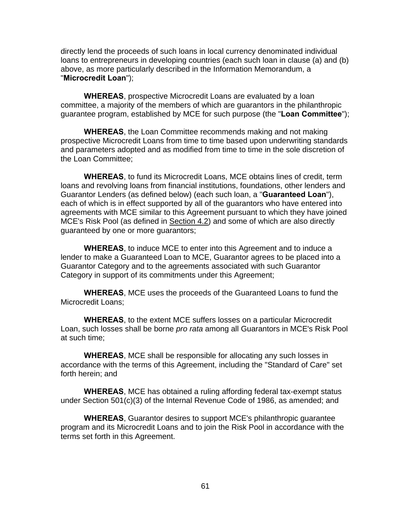directly lend the proceeds of such loans in local currency denominated individual loans to entrepreneurs in developing countries (each such loan in clause (a) and (b) above, as more particularly described in the Information Memorandum, a "**Microcredit Loan**");

**WHEREAS**, prospective Microcredit Loans are evaluated by a loan committee, a majority of the members of which are guarantors in the philanthropic guarantee program, established by MCE for such purpose (the "**Loan Committee**");

**WHEREAS**, the Loan Committee recommends making and not making prospective Microcredit Loans from time to time based upon underwriting standards and parameters adopted and as modified from time to time in the sole discretion of the Loan Committee;

**WHEREAS**, to fund its Microcredit Loans, MCE obtains lines of credit, term loans and revolving loans from financial institutions, foundations, other lenders and Guarantor Lenders (as defined below) (each such loan, a "**Guaranteed Loan**"), each of which is in effect supported by all of the guarantors who have entered into agreements with MCE similar to this Agreement pursuant to which they have joined MCE's Risk Pool (as defined in Section 4.2) and some of which are also directly guaranteed by one or more guarantors;

**WHEREAS**, to induce MCE to enter into this Agreement and to induce a lender to make a Guaranteed Loan to MCE, Guarantor agrees to be placed into a Guarantor Category and to the agreements associated with such Guarantor Category in support of its commitments under this Agreement;

**WHEREAS**, MCE uses the proceeds of the Guaranteed Loans to fund the Microcredit Loans;

**WHEREAS**, to the extent MCE suffers losses on a particular Microcredit Loan, such losses shall be borne *pro rata* among all Guarantors in MCE's Risk Pool at such time;

**WHEREAS**, MCE shall be responsible for allocating any such losses in accordance with the terms of this Agreement, including the "Standard of Care" set forth herein; and

**WHEREAS**, MCE has obtained a ruling affording federal tax-exempt status under Section 501(c)(3) of the Internal Revenue Code of 1986, as amended; and

**WHEREAS**, Guarantor desires to support MCE's philanthropic guarantee program and its Microcredit Loans and to join the Risk Pool in accordance with the terms set forth in this Agreement.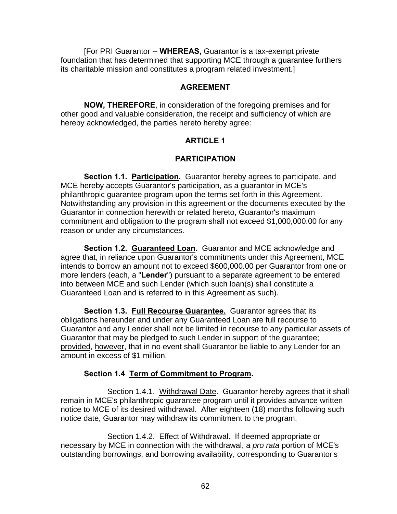[For PRI Guarantor -- **WHEREAS,** Guarantor is a tax-exempt private foundation that has determined that supporting MCE through a guarantee furthers its charitable mission and constitutes a program related investment.]

### **AGREEMENT**

**NOW, THEREFORE**, in consideration of the foregoing premises and for other good and valuable consideration, the receipt and sufficiency of which are hereby acknowledged, the parties hereto hereby agree:

### **ARTICLE 1**

### **PARTICIPATION**

**Section 1.1. Participation.** Guarantor hereby agrees to participate, and MCE hereby accepts Guarantor's participation, as a guarantor in MCE's philanthropic guarantee program upon the terms set forth in this Agreement. Notwithstanding any provision in this agreement or the documents executed by the Guarantor in connection herewith or related hereto, Guarantor's maximum commitment and obligation to the program shall not exceed \$1,000,000.00 for any reason or under any circumstances.

**Section 1.2. Guaranteed Loan.** Guarantor and MCE acknowledge and agree that, in reliance upon Guarantor's commitments under this Agreement, MCE intends to borrow an amount not to exceed \$600,000.00 per Guarantor from one or more lenders (each, a "**Lender**") pursuant to a separate agreement to be entered into between MCE and such Lender (which such loan(s) shall constitute a Guaranteed Loan and is referred to in this Agreement as such).

**Section 1.3. Full Recourse Guarantee.** Guarantor agrees that its obligations hereunder and under any Guaranteed Loan are full recourse to Guarantor and any Lender shall not be limited in recourse to any particular assets of Guarantor that may be pledged to such Lender in support of the guarantee; provided, however, that in no event shall Guarantor be liable to any Lender for an amount in excess of \$1 million.

### **Section 1.4 Term of Commitment to Program.**

Section 1.4.1. Withdrawal Date. Guarantor hereby agrees that it shall remain in MCE's philanthropic guarantee program until it provides advance written notice to MCE of its desired withdrawal. After eighteen (18) months following such notice date, Guarantor may withdraw its commitment to the program.

Section 1.4.2. Effect of Withdrawal. If deemed appropriate or necessary by MCE in connection with the withdrawal, a *pro rata* portion of MCE's outstanding borrowings, and borrowing availability, corresponding to Guarantor's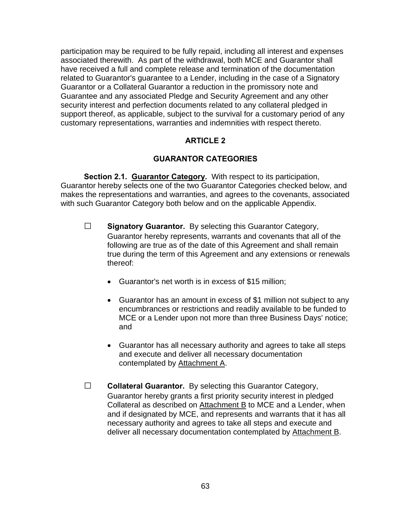participation may be required to be fully repaid, including all interest and expenses associated therewith. As part of the withdrawal, both MCE and Guarantor shall have received a full and complete release and termination of the documentation related to Guarantor's guarantee to a Lender, including in the case of a Signatory Guarantor or a Collateral Guarantor a reduction in the promissory note and Guarantee and any associated Pledge and Security Agreement and any other security interest and perfection documents related to any collateral pledged in support thereof, as applicable, subject to the survival for a customary period of any customary representations, warranties and indemnities with respect thereto.

### **ARTICLE 2**

### **GUARANTOR CATEGORIES**

**Section 2.1. Guarantor Category.** With respect to its participation, Guarantor hereby selects one of the two Guarantor Categories checked below, and makes the representations and warranties, and agrees to the covenants, associated with such Guarantor Category both below and on the applicable Appendix.

- **□ Signatory Guarantor.** By selecting this Guarantor Category, Guarantor hereby represents, warrants and covenants that all of the following are true as of the date of this Agreement and shall remain true during the term of this Agreement and any extensions or renewals thereof:
	- Guarantor's net worth is in excess of \$15 million;
	- Guarantor has an amount in excess of \$1 million not subject to any encumbrances or restrictions and readily available to be funded to MCE or a Lender upon not more than three Business Days' notice; and
	- Guarantor has all necessary authority and agrees to take all steps and execute and deliver all necessary documentation contemplated by Attachment A.
- **□ Collateral Guarantor.** By selecting this Guarantor Category, Guarantor hereby grants a first priority security interest in pledged Collateral as described on Attachment B to MCE and a Lender, when and if designated by MCE, and represents and warrants that it has all necessary authority and agrees to take all steps and execute and deliver all necessary documentation contemplated by Attachment B.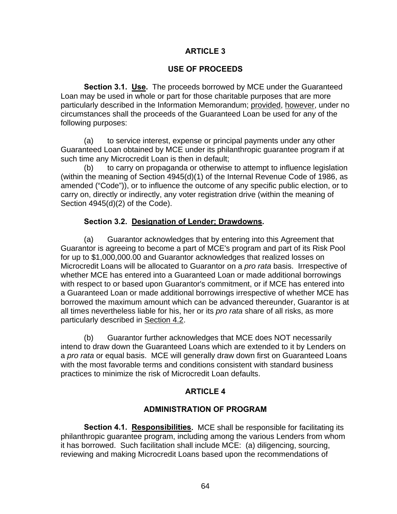### **ARTICLE 3**

### **USE OF PROCEEDS**

**Section 3.1. Use.** The proceeds borrowed by MCE under the Guaranteed Loan may be used in whole or part for those charitable purposes that are more particularly described in the Information Memorandum; provided, however, under no circumstances shall the proceeds of the Guaranteed Loan be used for any of the following purposes:

 (a) to service interest, expense or principal payments under any other Guaranteed Loan obtained by MCE under its philanthropic guarantee program if at such time any Microcredit Loan is then in default;

 (b) to carry on propaganda or otherwise to attempt to influence legislation (within the meaning of Section 4945(d)(1) of the Internal Revenue Code of 1986, as amended ("Code")), or to influence the outcome of any specific public election, or to carry on, directly or indirectly, any voter registration drive (within the meaning of Section 4945(d)(2) of the Code).

### **Section 3.2. Designation of Lender; Drawdowns.**

 (a) Guarantor acknowledges that by entering into this Agreement that Guarantor is agreeing to become a part of MCE's program and part of its Risk Pool for up to \$1,000,000.00 and Guarantor acknowledges that realized losses on Microcredit Loans will be allocated to Guarantor on a *pro rata* basis. Irrespective of whether MCE has entered into a Guaranteed Loan or made additional borrowings with respect to or based upon Guarantor's commitment, or if MCE has entered into a Guaranteed Loan or made additional borrowings irrespective of whether MCE has borrowed the maximum amount which can be advanced thereunder, Guarantor is at all times nevertheless liable for his, her or its *pro rata* share of all risks, as more particularly described in Section 4.2.

 (b) Guarantor further acknowledges that MCE does NOT necessarily intend to draw down the Guaranteed Loans which are extended to it by Lenders on a *pro rata* or equal basis. MCE will generally draw down first on Guaranteed Loans with the most favorable terms and conditions consistent with standard business practices to minimize the risk of Microcredit Loan defaults.

# **ARTICLE 4**

# **ADMINISTRATION OF PROGRAM**

**Section 4.1. Responsibilities.** MCE shall be responsible for facilitating its philanthropic guarantee program, including among the various Lenders from whom it has borrowed. Such facilitation shall include MCE: (a) diligencing, sourcing, reviewing and making Microcredit Loans based upon the recommendations of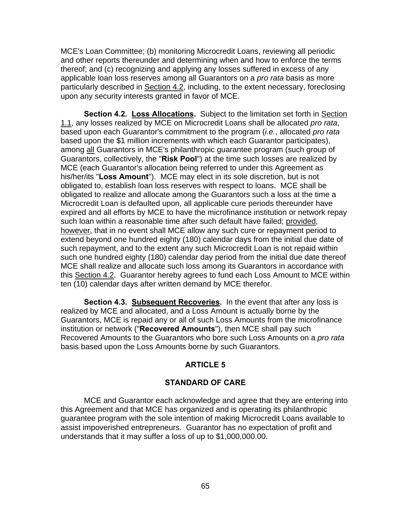MCE's Loan Committee; (b) monitoring Microcredit Loans, reviewing all periodic and other reports thereunder and determining when and how to enforce the terms thereof; and (c) recognizing and applying any losses suffered in excess of any applicable loan loss reserves among all Guarantors on a *pro rata* basis as more particularly described in Section 4.2, including, to the extent necessary, foreclosing upon any security interests granted in favor of MCE.

**Section 4.2. Loss Allocations.** Subject to the limitation set forth in Section 1.1, any losses realized by MCE on Microcredit Loans shall be allocated *pro rata*, based upon each Guarantor's commitment to the program (*i.e.*, allocated *pro rata* based upon the \$1 million increments with which each Guarantor participates), among all Guarantors in MCE's philanthropic guarantee program (such group of Guarantors, collectively, the "**Risk Pool**") at the time such losses are realized by MCE (each Guarantor's allocation being referred to under this Agreement as his/her/its "**Loss Amount**"). MCE may elect in its sole discretion, but is not obligated to, establish loan loss reserves with respect to loans. MCE shall be obligated to realize and allocate among the Guarantors such a loss at the time a Microcredit Loan is defaulted upon, all applicable cure periods thereunder have expired and all efforts by MCE to have the microfinance institution or network repay such loan within a reasonable time after such default have failed; provided, however, that in no event shall MCE allow any such cure or repayment period to extend beyond one hundred eighty (180) calendar days from the initial due date of such repayment, and to the extent any such Microcredit Loan is not repaid within such one hundred eighty (180) calendar day period from the initial due date thereof MCE shall realize and allocate such loss among its Guarantors in accordance with this Section 4.2. Guarantor hereby agrees to fund each Loss Amount to MCE within ten (10) calendar days after written demand by MCE therefor.

**Section 4.3. Subsequent Recoveries.** In the event that after any loss is realized by MCE and allocated, and a Loss Amount is actually borne by the Guarantors, MCE is repaid any or all of such Loss Amounts from the microfinance institution or network ("**Recovered Amounts**"), then MCE shall pay such Recovered Amounts to the Guarantors who bore such Loss Amounts on a *pro rata* basis based upon the Loss Amounts borne by such Guarantors.

### **ARTICLE 5**

### **STANDARD OF CARE**

 MCE and Guarantor each acknowledge and agree that they are entering into this Agreement and that MCE has organized and is operating its philanthropic guarantee program with the sole intention of making Microcredit Loans available to assist impoverished entrepreneurs. Guarantor has no expectation of profit and understands that it may suffer a loss of up to \$1,000,000.00.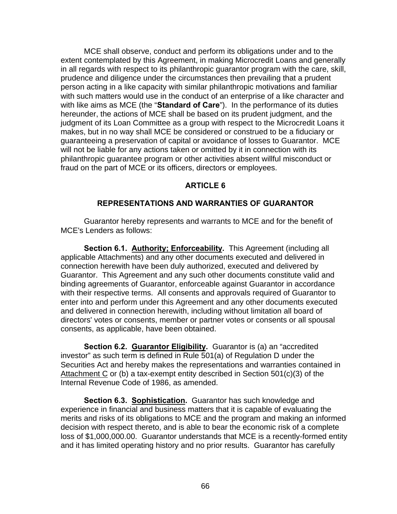MCE shall observe, conduct and perform its obligations under and to the extent contemplated by this Agreement, in making Microcredit Loans and generally in all regards with respect to its philanthropic guarantor program with the care, skill, prudence and diligence under the circumstances then prevailing that a prudent person acting in a like capacity with similar philanthropic motivations and familiar with such matters would use in the conduct of an enterprise of a like character and with like aims as MCE (the "**Standard of Care**"). In the performance of its duties hereunder, the actions of MCE shall be based on its prudent judgment, and the judgment of its Loan Committee as a group with respect to the Microcredit Loans it makes, but in no way shall MCE be considered or construed to be a fiduciary or guaranteeing a preservation of capital or avoidance of losses to Guarantor. MCE will not be liable for any actions taken or omitted by it in connection with its philanthropic guarantee program or other activities absent willful misconduct or fraud on the part of MCE or its officers, directors or employees.

### **ARTICLE 6**

### **REPRESENTATIONS AND WARRANTIES OF GUARANTOR**

 Guarantor hereby represents and warrants to MCE and for the benefit of MCE's Lenders as follows:

**Section 6.1. Authority; Enforceability.** This Agreement (including all applicable Attachments) and any other documents executed and delivered in connection herewith have been duly authorized, executed and delivered by Guarantor. This Agreement and any such other documents constitute valid and binding agreements of Guarantor, enforceable against Guarantor in accordance with their respective terms. All consents and approvals required of Guarantor to enter into and perform under this Agreement and any other documents executed and delivered in connection herewith, including without limitation all board of directors' votes or consents, member or partner votes or consents or all spousal consents, as applicable, have been obtained.

**Section 6.2. Guarantor Eligibility.** Guarantor is (a) an "accredited investor" as such term is defined in Rule 501(a) of Regulation D under the Securities Act and hereby makes the representations and warranties contained in Attachment C or (b) a tax-exempt entity described in Section  $501(c)(3)$  of the Internal Revenue Code of 1986, as amended.

**Section 6.3. Sophistication.** Guarantor has such knowledge and experience in financial and business matters that it is capable of evaluating the merits and risks of its obligations to MCE and the program and making an informed decision with respect thereto, and is able to bear the economic risk of a complete loss of \$1,000,000.00. Guarantor understands that MCE is a recently-formed entity and it has limited operating history and no prior results. Guarantor has carefully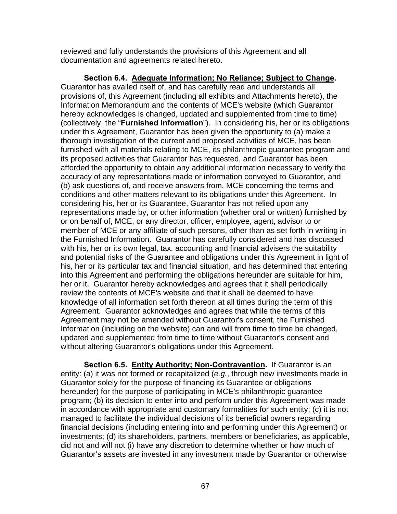reviewed and fully understands the provisions of this Agreement and all documentation and agreements related hereto.

**Section 6.4. Adequate Information; No Reliance; Subject to Change.** Guarantor has availed itself of, and has carefully read and understands all provisions of, this Agreement (including all exhibits and Attachments hereto), the Information Memorandum and the contents of MCE's website (which Guarantor hereby acknowledges is changed, updated and supplemented from time to time) (collectively, the "**Furnished Information**"). In considering his, her or its obligations under this Agreement, Guarantor has been given the opportunity to (a) make a thorough investigation of the current and proposed activities of MCE, has been furnished with all materials relating to MCE, its philanthropic guarantee program and its proposed activities that Guarantor has requested, and Guarantor has been afforded the opportunity to obtain any additional information necessary to verify the accuracy of any representations made or information conveyed to Guarantor, and (b) ask questions of, and receive answers from, MCE concerning the terms and conditions and other matters relevant to its obligations under this Agreement. In considering his, her or its Guarantee, Guarantor has not relied upon any representations made by, or other information (whether oral or written) furnished by or on behalf of, MCE, or any director, officer, employee, agent, advisor to or member of MCE or any affiliate of such persons, other than as set forth in writing in the Furnished Information. Guarantor has carefully considered and has discussed with his, her or its own legal, tax, accounting and financial advisers the suitability and potential risks of the Guarantee and obligations under this Agreement in light of his, her or its particular tax and financial situation, and has determined that entering into this Agreement and performing the obligations hereunder are suitable for him, her or it. Guarantor hereby acknowledges and agrees that it shall periodically review the contents of MCE's website and that it shall be deemed to have knowledge of all information set forth thereon at all times during the term of this Agreement. Guarantor acknowledges and agrees that while the terms of this Agreement may not be amended without Guarantor's consent, the Furnished Information (including on the website) can and will from time to time be changed, updated and supplemented from time to time without Guarantor's consent and without altering Guarantor's obligations under this Agreement.

**Section 6.5. Entity Authority; Non-Contravention.** If Guarantor is an entity: (a) it was not formed or recapitalized (*e.g.*, through new investments made in Guarantor solely for the purpose of financing its Guarantee or obligations hereunder) for the purpose of participating in MCE's philanthropic guarantee program; (b) its decision to enter into and perform under this Agreement was made in accordance with appropriate and customary formalities for such entity; (c) it is not managed to facilitate the individual decisions of its beneficial owners regarding financial decisions (including entering into and performing under this Agreement) or investments; (d) its shareholders, partners, members or beneficiaries, as applicable, did not and will not (i) have any discretion to determine whether or how much of Guarantor's assets are invested in any investment made by Guarantor or otherwise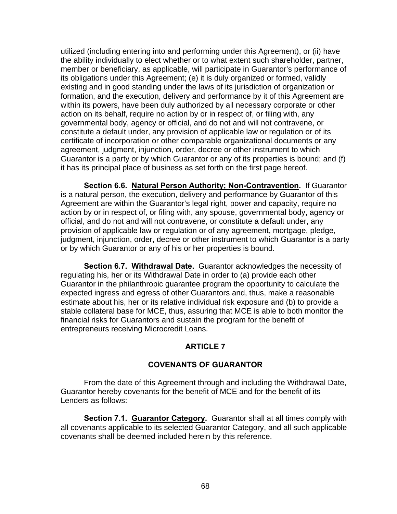utilized (including entering into and performing under this Agreement), or (ii) have the ability individually to elect whether or to what extent such shareholder, partner, member or beneficiary, as applicable, will participate in Guarantor's performance of its obligations under this Agreement; (e) it is duly organized or formed, validly existing and in good standing under the laws of its jurisdiction of organization or formation, and the execution, delivery and performance by it of this Agreement are within its powers, have been duly authorized by all necessary corporate or other action on its behalf, require no action by or in respect of, or filing with, any governmental body, agency or official, and do not and will not contravene, or constitute a default under, any provision of applicable law or regulation or of its certificate of incorporation or other comparable organizational documents or any agreement, judgment, injunction, order, decree or other instrument to which Guarantor is a party or by which Guarantor or any of its properties is bound; and (f) it has its principal place of business as set forth on the first page hereof.

**Section 6.6. Natural Person Authority; Non-Contravention.** If Guarantor is a natural person, the execution, delivery and performance by Guarantor of this Agreement are within the Guarantor's legal right, power and capacity, require no action by or in respect of, or filing with, any spouse, governmental body, agency or official, and do not and will not contravene, or constitute a default under, any provision of applicable law or regulation or of any agreement, mortgage, pledge, judgment, injunction, order, decree or other instrument to which Guarantor is a party or by which Guarantor or any of his or her properties is bound.

**Section 6.7. Withdrawal Date.** Guarantor acknowledges the necessity of regulating his, her or its Withdrawal Date in order to (a) provide each other Guarantor in the philanthropic guarantee program the opportunity to calculate the expected ingress and egress of other Guarantors and, thus, make a reasonable estimate about his, her or its relative individual risk exposure and (b) to provide a stable collateral base for MCE, thus, assuring that MCE is able to both monitor the financial risks for Guarantors and sustain the program for the benefit of entrepreneurs receiving Microcredit Loans.

### **ARTICLE 7**

### **COVENANTS OF GUARANTOR**

 From the date of this Agreement through and including the Withdrawal Date, Guarantor hereby covenants for the benefit of MCE and for the benefit of its Lenders as follows:

**Section 7.1. Guarantor Category.** Guarantor shall at all times comply with all covenants applicable to its selected Guarantor Category, and all such applicable covenants shall be deemed included herein by this reference.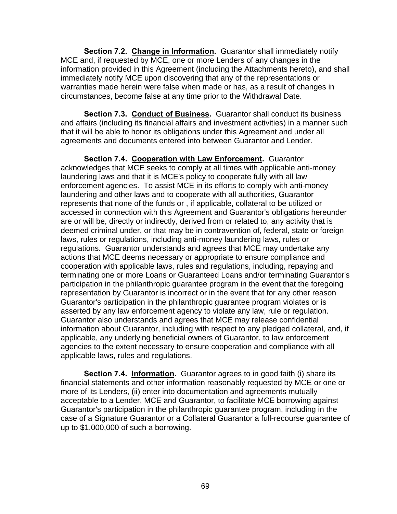**Section 7.2. Change in Information.** Guarantor shall immediately notify MCE and, if requested by MCE, one or more Lenders of any changes in the information provided in this Agreement (including the Attachments hereto), and shall immediately notify MCE upon discovering that any of the representations or warranties made herein were false when made or has, as a result of changes in circumstances, become false at any time prior to the Withdrawal Date.

**Section 7.3. Conduct of Business.** Guarantor shall conduct its business and affairs (including its financial affairs and investment activities) in a manner such that it will be able to honor its obligations under this Agreement and under all agreements and documents entered into between Guarantor and Lender.

**Section 7.4. Cooperation with Law Enforcement.** Guarantor acknowledges that MCE seeks to comply at all times with applicable anti-money laundering laws and that it is MCE's policy to cooperate fully with all law enforcement agencies. To assist MCE in its efforts to comply with anti-money laundering and other laws and to cooperate with all authorities, Guarantor represents that none of the funds or , if applicable, collateral to be utilized or accessed in connection with this Agreement and Guarantor's obligations hereunder are or will be, directly or indirectly, derived from or related to, any activity that is deemed criminal under, or that may be in contravention of, federal, state or foreign laws, rules or regulations, including anti-money laundering laws, rules or regulations. Guarantor understands and agrees that MCE may undertake any actions that MCE deems necessary or appropriate to ensure compliance and cooperation with applicable laws, rules and regulations, including, repaying and terminating one or more Loans or Guaranteed Loans and/or terminating Guarantor's participation in the philanthropic guarantee program in the event that the foregoing representation by Guarantor is incorrect or in the event that for any other reason Guarantor's participation in the philanthropic guarantee program violates or is asserted by any law enforcement agency to violate any law, rule or regulation. Guarantor also understands and agrees that MCE may release confidential information about Guarantor, including with respect to any pledged collateral, and, if applicable, any underlying beneficial owners of Guarantor, to law enforcement agencies to the extent necessary to ensure cooperation and compliance with all applicable laws, rules and regulations.

**Section 7.4. Information.** Guarantor agrees to in good faith (i) share its financial statements and other information reasonably requested by MCE or one or more of its Lenders, (ii) enter into documentation and agreements mutually acceptable to a Lender, MCE and Guarantor, to facilitate MCE borrowing against Guarantor's participation in the philanthropic guarantee program, including in the case of a Signature Guarantor or a Collateral Guarantor a full-recourse guarantee of up to \$1,000,000 of such a borrowing.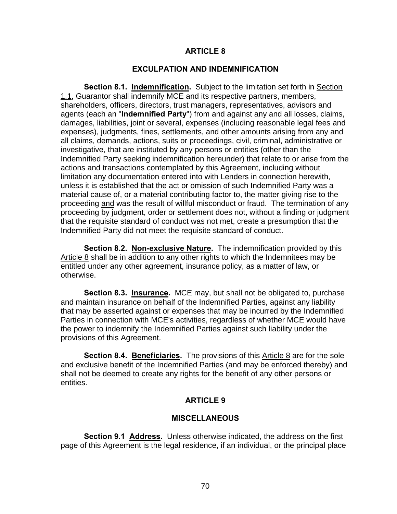#### **ARTICLE 8**

#### **EXCULPATION AND INDEMNIFICATION**

**Section 8.1. Indemnification.** Subject to the limitation set forth in Section 1.1, Guarantor shall indemnify MCE and its respective partners, members. shareholders, officers, directors, trust managers, representatives, advisors and agents (each an "**Indemnified Party**") from and against any and all losses, claims, damages, liabilities, joint or several, expenses (including reasonable legal fees and expenses), judgments, fines, settlements, and other amounts arising from any and all claims, demands, actions, suits or proceedings, civil, criminal, administrative or investigative, that are instituted by any persons or entities (other than the Indemnified Party seeking indemnification hereunder) that relate to or arise from the actions and transactions contemplated by this Agreement, including without limitation any documentation entered into with Lenders in connection herewith, unless it is established that the act or omission of such Indemnified Party was a material cause of, or a material contributing factor to, the matter giving rise to the proceeding and was the result of willful misconduct or fraud. The termination of any proceeding by judgment, order or settlement does not, without a finding or judgment that the requisite standard of conduct was not met, create a presumption that the Indemnified Party did not meet the requisite standard of conduct.

**Section 8.2. Non-exclusive Nature.** The indemnification provided by this Article 8 shall be in addition to any other rights to which the Indemnitees may be entitled under any other agreement, insurance policy, as a matter of law, or otherwise.

**Section 8.3. Insurance.** MCE may, but shall not be obligated to, purchase and maintain insurance on behalf of the Indemnified Parties, against any liability that may be asserted against or expenses that may be incurred by the Indemnified Parties in connection with MCE's activities, regardless of whether MCE would have the power to indemnify the Indemnified Parties against such liability under the provisions of this Agreement.

**Section 8.4. Beneficiaries.** The provisions of this Article 8 are for the sole and exclusive benefit of the Indemnified Parties (and may be enforced thereby) and shall not be deemed to create any rights for the benefit of any other persons or entities.

### **ARTICLE 9**

#### **MISCELLANEOUS**

**Section 9.1 Address.** Unless otherwise indicated, the address on the first page of this Agreement is the legal residence, if an individual, or the principal place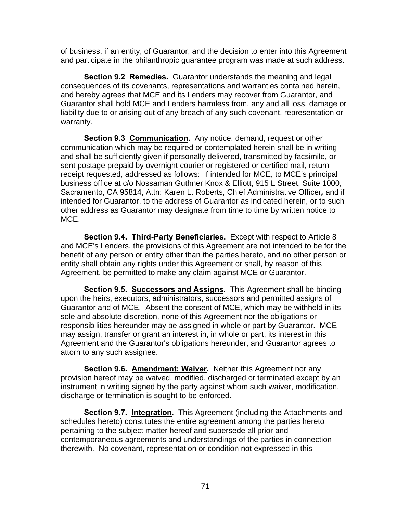of business, if an entity, of Guarantor, and the decision to enter into this Agreement and participate in the philanthropic guarantee program was made at such address.

**Section 9.2 Remedies.** Guarantor understands the meaning and legal consequences of its covenants, representations and warranties contained herein, and hereby agrees that MCE and its Lenders may recover from Guarantor, and Guarantor shall hold MCE and Lenders harmless from, any and all loss, damage or liability due to or arising out of any breach of any such covenant, representation or warranty.

**Section 9.3 Communication.** Any notice, demand, request or other communication which may be required or contemplated herein shall be in writing and shall be sufficiently given if personally delivered, transmitted by facsimile, or sent postage prepaid by overnight courier or registered or certified mail, return receipt requested, addressed as follows: if intended for MCE, to MCE's principal business office at c/o Nossaman Guthner Knox & Elliott, 915 L Street, Suite 1000, Sacramento, CA 95814, Attn: Karen L. Roberts, Chief Administrative Officer*,* and if intended for Guarantor, to the address of Guarantor as indicated herein, or to such other address as Guarantor may designate from time to time by written notice to MCE.

**Section 9.4. Third-Party Beneficiaries.** Except with respect to Article 8 and MCE's Lenders, the provisions of this Agreement are not intended to be for the benefit of any person or entity other than the parties hereto, and no other person or entity shall obtain any rights under this Agreement or shall, by reason of this Agreement, be permitted to make any claim against MCE or Guarantor.

**Section 9.5. Successors and Assigns.** This Agreement shall be binding upon the heirs, executors, administrators, successors and permitted assigns of Guarantor and of MCE. Absent the consent of MCE, which may be withheld in its sole and absolute discretion, none of this Agreement nor the obligations or responsibilities hereunder may be assigned in whole or part by Guarantor. MCE may assign, transfer or grant an interest in, in whole or part, its interest in this Agreement and the Guarantor's obligations hereunder, and Guarantor agrees to attorn to any such assignee.

**Section 9.6. Amendment; Waiver.** Neither this Agreement nor any provision hereof may be waived, modified, discharged or terminated except by an instrument in writing signed by the party against whom such waiver, modification, discharge or termination is sought to be enforced.

**Section 9.7. Integration.** This Agreement (including the Attachments and schedules hereto) constitutes the entire agreement among the parties hereto pertaining to the subject matter hereof and supersede all prior and contemporaneous agreements and understandings of the parties in connection therewith. No covenant, representation or condition not expressed in this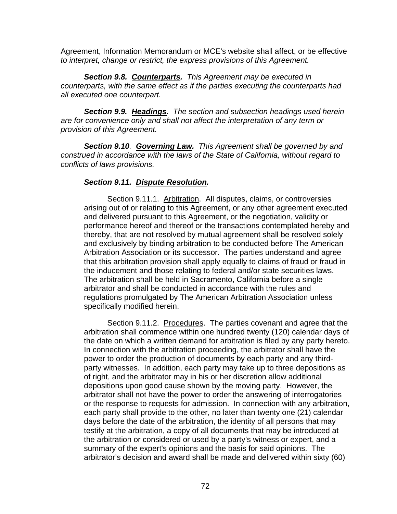Agreement, Information Memorandum or MCE's website shall affect, or be effective *to interpret, change or restrict, the express provisions of this Agreement.* 

*Section 9.8. Counterparts. This Agreement may be executed in counterparts, with the same effect as if the parties executing the counterparts had all executed one counterpart.* 

*Section 9.9. Headings. The section and subsection headings used herein are for convenience only and shall not affect the interpretation of any term or provision of this Agreement.* 

*Section 9.10. Governing Law. This Agreement shall be governed by and construed in accordance with the laws of the State of California, without regard to conflicts of laws provisions.* 

#### *Section 9.11. Dispute Resolution.*

Section 9.11.1. Arbitration. All disputes, claims, or controversies arising out of or relating to this Agreement, or any other agreement executed and delivered pursuant to this Agreement, or the negotiation, validity or performance hereof and thereof or the transactions contemplated hereby and thereby, that are not resolved by mutual agreement shall be resolved solely and exclusively by binding arbitration to be conducted before The American Arbitration Association or its successor. The parties understand and agree that this arbitration provision shall apply equally to claims of fraud or fraud in the inducement and those relating to federal and/or state securities laws. The arbitration shall be held in Sacramento, California before a single arbitrator and shall be conducted in accordance with the rules and regulations promulgated by The American Arbitration Association unless specifically modified herein.

Section 9.11.2. Procedures. The parties covenant and agree that the arbitration shall commence within one hundred twenty (120) calendar days of the date on which a written demand for arbitration is filed by any party hereto. In connection with the arbitration proceeding, the arbitrator shall have the power to order the production of documents by each party and any thirdparty witnesses. In addition, each party may take up to three depositions as of right, and the arbitrator may in his or her discretion allow additional depositions upon good cause shown by the moving party. However, the arbitrator shall not have the power to order the answering of interrogatories or the response to requests for admission. In connection with any arbitration, each party shall provide to the other, no later than twenty one (21) calendar days before the date of the arbitration, the identity of all persons that may testify at the arbitration, a copy of all documents that may be introduced at the arbitration or considered or used by a party's witness or expert, and a summary of the expert's opinions and the basis for said opinions. The arbitrator's decision and award shall be made and delivered within sixty (60)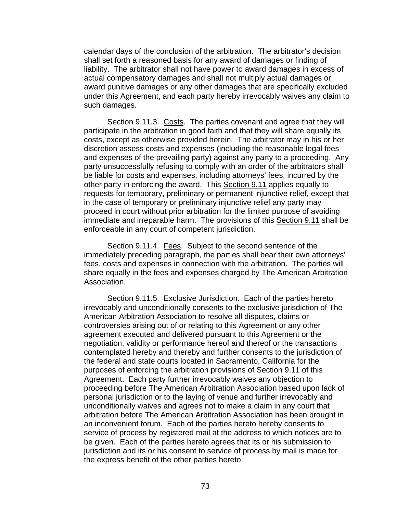calendar days of the conclusion of the arbitration. The arbitrator's decision shall set forth a reasoned basis for any award of damages or finding of liability. The arbitrator shall not have power to award damages in excess of actual compensatory damages and shall not multiply actual damages or award punitive damages or any other damages that are specifically excluded under this Agreement, and each party hereby irrevocably waives any claim to such damages.

Section 9.11.3. Costs. The parties covenant and agree that they will participate in the arbitration in good faith and that they will share equally its costs, except as otherwise provided herein.The arbitrator may in his or her discretion assess costs and expenses (including the reasonable legal fees and expenses of the prevailing party) against any party to a proceeding. Any party unsuccessfully refusing to comply with an order of the arbitrators shall be liable for costs and expenses, including attorneys' fees, incurred by the other party in enforcing the award. This Section 9.11 applies equally to requests for temporary, preliminary or permanent injunctive relief, except that in the case of temporary or preliminary injunctive relief any party may proceed in court without prior arbitration for the limited purpose of avoiding immediate and irreparable harm. The provisions of this Section 9.11 shall be enforceable in any court of competent jurisdiction.

Section 9.11.4. Fees. Subject to the second sentence of the immediately preceding paragraph, the parties shall bear their own attorneys' fees, costs and expenses in connection with the arbitration. The parties will share equally in the fees and expenses charged by The American Arbitration Association.

Section 9.11.5. Exclusive Jurisdiction. Each of the parties hereto irrevocably and unconditionally consents to the exclusive jurisdiction of The American Arbitration Association to resolve all disputes, claims or controversies arising out of or relating to this Agreement or any other agreement executed and delivered pursuant to this Agreement or the negotiation, validity or performance hereof and thereof or the transactions contemplated hereby and thereby and further consents to the jurisdiction of the federal and state courts located in Sacramento, California for the purposes of enforcing the arbitration provisions of Section 9.11 of this Agreement. Each party further irrevocably waives any objection to proceeding before The American Arbitration Association based upon lack of personal jurisdiction or to the laying of venue and further irrevocably and unconditionally waives and agrees not to make a claim in any court that arbitration before The American Arbitration Association has been brought in an inconvenient forum. Each of the parties hereto hereby consents to service of process by registered mail at the address to which notices are to be given. Each of the parties hereto agrees that its or his submission to jurisdiction and its or his consent to service of process by mail is made for the express benefit of the other parties hereto.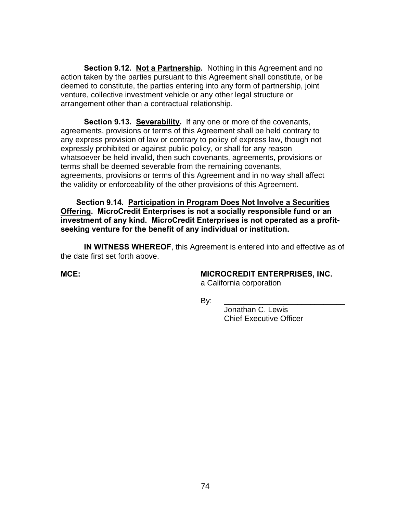**Section 9.12. Not a Partnership.** Nothing in this Agreement and no action taken by the parties pursuant to this Agreement shall constitute, or be deemed to constitute, the parties entering into any form of partnership, joint venture, collective investment vehicle or any other legal structure or arrangement other than a contractual relationship.

**Section 9.13. Severability.** If any one or more of the covenants, agreements, provisions or terms of this Agreement shall be held contrary to any express provision of law or contrary to policy of express law, though not expressly prohibited or against public policy, or shall for any reason whatsoever be held invalid, then such covenants, agreements, provisions or terms shall be deemed severable from the remaining covenants, agreements, provisions or terms of this Agreement and in no way shall affect the validity or enforceability of the other provisions of this Agreement.

**Section 9.14. Participation in Program Does Not Involve a Securities Offering. MicroCredit Enterprises is not a socially responsible fund or an investment of any kind. MicroCredit Enterprises is not operated as a profitseeking venture for the benefit of any individual or institution.** 

**IN WITNESS WHEREOF**, this Agreement is entered into and effective as of the date first set forth above.

## **MCE: MICROCREDIT ENTERPRISES, INC.**

a California corporation

By: \_\_\_\_\_\_\_\_\_\_\_\_\_\_\_\_\_\_\_\_\_\_\_\_\_\_\_\_

 Jonathan C. Lewis Chief Executive Officer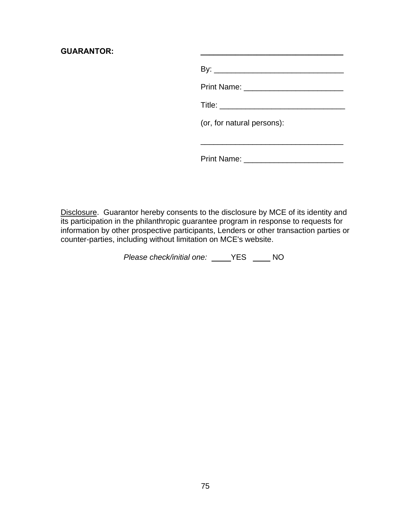#### GUARANTOR:

| (or, for natural persons): |  |  |
|----------------------------|--|--|
|                            |  |  |
| Print Name:                |  |  |

Disclosure. Guarantor hereby consents to the disclosure by MCE of its identity and its participation in the philanthropic guarantee program in response to requests for information by other prospective participants, Lenders or other transaction parties or counter-parties, including without limitation on MCE's website.

*Please check/initial one:* \_\_\_\_YES \_\_\_\_ NO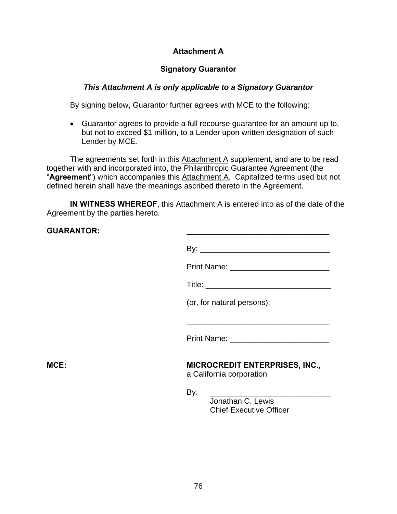## **Attachment A**

# **Signatory Guarantor**

#### *This Attachment A is only applicable to a Signatory Guarantor*

By signing below, Guarantor further agrees with MCE to the following:

• Guarantor agrees to provide a full recourse guarantee for an amount up to, but not to exceed \$1 million, to a Lender upon written designation of such Lender by MCE.

The agreements set forth in this Attachment A supplement, and are to be read together with and incorporated into, the Philanthropic Guarantee Agreement (the "**Agreement**") which accompanies this Attachment A. Capitalized terms used but not defined herein shall have the meanings ascribed thereto in the Agreement.

**IN WITNESS WHEREOF,** this Attachment A is entered into as of the date of the Agreement by the parties hereto.

| <b>GUARANTOR:</b> |                                                                                                                      |
|-------------------|----------------------------------------------------------------------------------------------------------------------|
|                   |                                                                                                                      |
|                   |                                                                                                                      |
|                   |                                                                                                                      |
|                   | (or, for natural persons):                                                                                           |
|                   | <u> 1989 - Johann Stein, mars an deutscher Stein und der Stein und der Stein und der Stein und der Stein und der</u> |
|                   |                                                                                                                      |
| $MCE$ :           | <b>MICROCREDIT ENTERPRISES, INC.,</b><br>a California corporation                                                    |
|                   | By:<br>Jonathan C. Lewis<br><b>Chief Executive Officer</b>                                                           |
|                   |                                                                                                                      |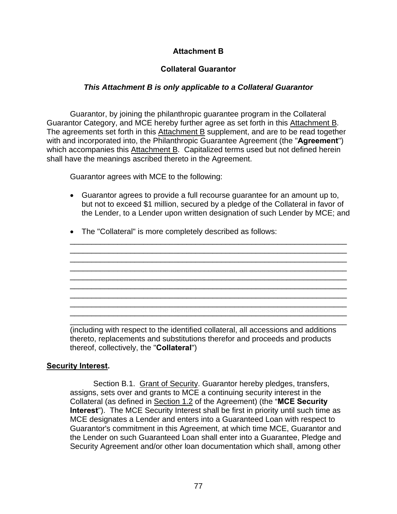# **Attachment B**

# **Collateral Guarantor**

# *This Attachment B is only applicable to a Collateral Guarantor*

 Guarantor, by joining the philanthropic guarantee program in the Collateral Guarantor Category, and MCE hereby further agree as set forth in this Attachment B. The agreements set forth in this Attachment B supplement, and are to be read together with and incorporated into, the Philanthropic Guarantee Agreement (the "**Agreement**") which accompanies this Attachment B. Capitalized terms used but not defined herein shall have the meanings ascribed thereto in the Agreement.

Guarantor agrees with MCE to the following:

• Guarantor agrees to provide a full recourse guarantee for an amount up to, but not to exceed \$1 million, secured by a pledge of the Collateral in favor of the Lender, to a Lender upon written designation of such Lender by MCE; and

\_\_\_\_\_\_\_\_\_\_\_\_\_\_\_\_\_\_\_\_\_\_\_\_\_\_\_\_\_\_\_\_\_\_\_\_\_\_\_\_\_\_\_\_\_\_\_\_\_\_\_\_\_\_\_\_\_\_\_\_\_\_\_\_ \_\_\_\_\_\_\_\_\_\_\_\_\_\_\_\_\_\_\_\_\_\_\_\_\_\_\_\_\_\_\_\_\_\_\_\_\_\_\_\_\_\_\_\_\_\_\_\_\_\_\_\_\_\_\_\_\_\_\_\_\_\_\_\_ \_\_\_\_\_\_\_\_\_\_\_\_\_\_\_\_\_\_\_\_\_\_\_\_\_\_\_\_\_\_\_\_\_\_\_\_\_\_\_\_\_\_\_\_\_\_\_\_\_\_\_\_\_\_\_\_\_\_\_\_\_\_\_\_ \_\_\_\_\_\_\_\_\_\_\_\_\_\_\_\_\_\_\_\_\_\_\_\_\_\_\_\_\_\_\_\_\_\_\_\_\_\_\_\_\_\_\_\_\_\_\_\_\_\_\_\_\_\_\_\_\_\_\_\_\_\_\_\_ \_\_\_\_\_\_\_\_\_\_\_\_\_\_\_\_\_\_\_\_\_\_\_\_\_\_\_\_\_\_\_\_\_\_\_\_\_\_\_\_\_\_\_\_\_\_\_\_\_\_\_\_\_\_\_\_\_\_\_\_\_\_\_\_ \_\_\_\_\_\_\_\_\_\_\_\_\_\_\_\_\_\_\_\_\_\_\_\_\_\_\_\_\_\_\_\_\_\_\_\_\_\_\_\_\_\_\_\_\_\_\_\_\_\_\_\_\_\_\_\_\_\_\_\_\_\_\_\_ \_\_\_\_\_\_\_\_\_\_\_\_\_\_\_\_\_\_\_\_\_\_\_\_\_\_\_\_\_\_\_\_\_\_\_\_\_\_\_\_\_\_\_\_\_\_\_\_\_\_\_\_\_\_\_\_\_\_\_\_\_\_\_\_ \_\_\_\_\_\_\_\_\_\_\_\_\_\_\_\_\_\_\_\_\_\_\_\_\_\_\_\_\_\_\_\_\_\_\_\_\_\_\_\_\_\_\_\_\_\_\_\_\_\_\_\_\_\_\_\_\_\_\_\_\_\_\_\_ \_\_\_\_\_\_\_\_\_\_\_\_\_\_\_\_\_\_\_\_\_\_\_\_\_\_\_\_\_\_\_\_\_\_\_\_\_\_\_\_\_\_\_\_\_\_\_\_\_\_\_\_\_\_\_\_\_\_\_\_\_\_\_\_

• The "Collateral" is more completely described as follows:

\_\_\_\_\_\_\_\_\_\_\_\_\_\_\_\_\_\_\_\_\_\_\_\_\_\_\_\_\_\_\_\_\_\_\_\_\_\_\_\_\_\_\_\_\_\_\_\_\_\_\_\_\_\_\_\_\_\_\_\_\_\_\_\_ (including with respect to the identified collateral, all accessions and additions thereto, replacements and substitutions therefor and proceeds and products thereof, collectively, the "**Collateral**")

# **Security Interest.**

 Section B.1. Grant of Security. Guarantor hereby pledges, transfers, assigns, sets over and grants to MCE a continuing security interest in the Collateral (as defined in Section 1.2 of the Agreement) (the "**MCE Security Interest**"). The MCE Security Interest shall be first in priority until such time as MCE designates a Lender and enters into a Guaranteed Loan with respect to Guarantor's commitment in this Agreement, at which time MCE, Guarantor and the Lender on such Guaranteed Loan shall enter into a Guarantee, Pledge and Security Agreement and/or other loan documentation which shall, among other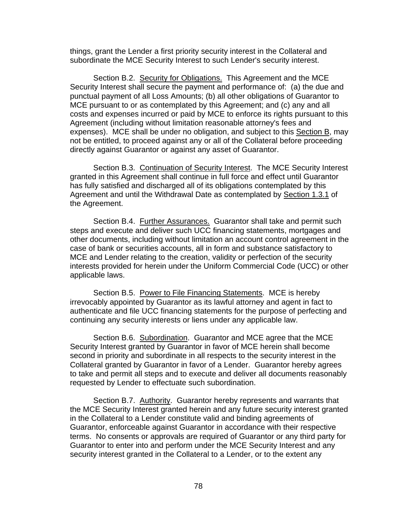things, grant the Lender a first priority security interest in the Collateral and subordinate the MCE Security Interest to such Lender's security interest.

Section B.2. Security for Obligations. This Agreement and the MCE Security Interest shall secure the payment and performance of: (a) the due and punctual payment of all Loss Amounts; (b) all other obligations of Guarantor to MCE pursuant to or as contemplated by this Agreement; and (c) any and all costs and expenses incurred or paid by MCE to enforce its rights pursuant to this Agreement (including without limitation reasonable attorney's fees and expenses). MCE shall be under no obligation, and subject to this Section B, may not be entitled, to proceed against any or all of the Collateral before proceeding directly against Guarantor or against any asset of Guarantor.

 Section B.3. Continuation of Security Interest. The MCE Security Interest granted in this Agreement shall continue in full force and effect until Guarantor has fully satisfied and discharged all of its obligations contemplated by this Agreement and until the Withdrawal Date as contemplated by Section 1.3.1 of the Agreement.

 Section B.4. Further Assurances. Guarantor shall take and permit such steps and execute and deliver such UCC financing statements, mortgages and other documents, including without limitation an account control agreement in the case of bank or securities accounts, all in form and substance satisfactory to MCE and Lender relating to the creation, validity or perfection of the security interests provided for herein under the Uniform Commercial Code (UCC) or other applicable laws.

 Section B.5. Power to File Financing Statements. MCE is hereby irrevocably appointed by Guarantor as its lawful attorney and agent in fact to authenticate and file UCC financing statements for the purpose of perfecting and continuing any security interests or liens under any applicable law.

Section B.6. Subordination. Guarantor and MCE agree that the MCE Security Interest granted by Guarantor in favor of MCE herein shall become second in priority and subordinate in all respects to the security interest in the Collateral granted by Guarantor in favor of a Lender. Guarantor hereby agrees to take and permit all steps and to execute and deliver all documents reasonably requested by Lender to effectuate such subordination.

 Section B.7. Authority. Guarantor hereby represents and warrants that the MCE Security Interest granted herein and any future security interest granted in the Collateral to a Lender constitute valid and binding agreements of Guarantor, enforceable against Guarantor in accordance with their respective terms. No consents or approvals are required of Guarantor or any third party for Guarantor to enter into and perform under the MCE Security Interest and any security interest granted in the Collateral to a Lender, or to the extent any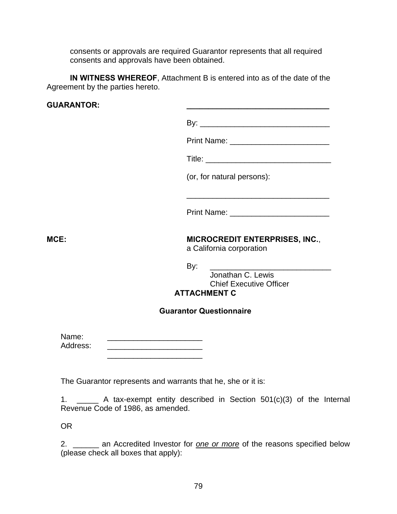consents or approvals are required Guarantor represents that all required consents and approvals have been obtained.

**IN WITNESS WHEREOF**, Attachment B is entered into as of the date of the Agreement by the parties hereto.

| <b>GUARANTOR:</b> |                                                                                                                                                                                                                                              |
|-------------------|----------------------------------------------------------------------------------------------------------------------------------------------------------------------------------------------------------------------------------------------|
|                   |                                                                                                                                                                                                                                              |
|                   | Print Name: ___________________________                                                                                                                                                                                                      |
|                   |                                                                                                                                                                                                                                              |
|                   | (or, for natural persons):                                                                                                                                                                                                                   |
|                   | <u> 1989 - Johann John Stone, markin film yn y brening yn y brening yn y brening yn y brening yn y brening yn y b</u><br>Print Name: <u>___________________________</u>                                                                      |
| <b>MCE:</b>       | <b>MICROCREDIT ENTERPRISES, INC.,</b><br>a California corporation                                                                                                                                                                            |
|                   | By:<br>Jonathan C. Lewis<br><b>Chief Executive Officer</b><br><b>ATTACHMENT C</b>                                                                                                                                                            |
|                   | <b>Guarantor Questionnaire</b>                                                                                                                                                                                                               |
| Name:<br>Address: | <u> 1989 - Johann John Stein, markin fan it ferskearre fan it ferskearre fan it ferskearre fan it ferskearre fan</u><br><u> 1989 - Johann Stein, mars an deutscher Stein und der Stein und der Stein und der Stein und der Stein und der</u> |
|                   | The Guarantor represents and warrants that he, she or it is:                                                                                                                                                                                 |

1. \_\_\_\_\_ A tax-exempt entity described in Section 501(c)(3) of the Internal Revenue Code of 1986, as amended.

OR

2. \_\_\_\_\_\_ an Accredited Investor for *one or more* of the reasons specified below (please check all boxes that apply):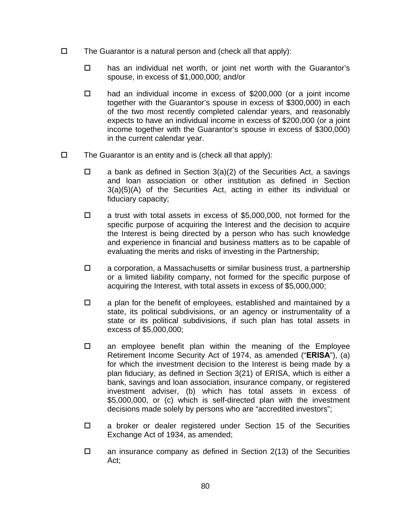- $\Box$  The Guarantor is a natural person and (check all that apply):
	- $\Box$  has an individual net worth, or joint net worth with the Guarantor's spouse, in excess of \$1,000,000; and/or
	- had an individual income in excess of \$200,000 (or a joint income together with the Guarantor's spouse in excess of \$300,000) in each of the two most recently completed calendar years, and reasonably expects to have an individual income in excess of \$200,000 (or a joint income together with the Guarantor's spouse in excess of \$300,000) in the current calendar year.
- $\Box$  The Guarantor is an entity and is (check all that apply):
	- $\Box$  a bank as defined in Section 3(a)(2) of the Securities Act, a savings and loan association or other institution as defined in Section 3(a)(5)(A) of the Securities Act, acting in either its individual or fiduciary capacity;
	- $\Box$  a trust with total assets in excess of \$5,000,000, not formed for the specific purpose of acquiring the Interest and the decision to acquire the Interest is being directed by a person who has such knowledge and experience in financial and business matters as to be capable of evaluating the merits and risks of investing in the Partnership;
	- $\square$  a corporation, a Massachusetts or similar business trust, a partnership or a limited liability company, not formed for the specific purpose of acquiring the Interest, with total assets in excess of \$5,000,000;
	- $\Box$  a plan for the benefit of employees, established and maintained by a state, its political subdivisions, or an agency or instrumentality of a state or its political subdivisions, if such plan has total assets in excess of \$5,000,000;
	- $\Box$  an employee benefit plan within the meaning of the Employee Retirement Income Security Act of 1974, as amended ("**ERISA**"), (a) for which the investment decision to the Interest is being made by a plan fiduciary, as defined in Section 3(21) of ERISA, which is either a bank, savings and loan association, insurance company, or registered investment adviser, (b) which has total assets in excess of \$5,000,000, or (c) which is self-directed plan with the investment decisions made solely by persons who are "accredited investors";
	- □ a broker or dealer registered under Section 15 of the Securities Exchange Act of 1934, as amended;
	- $\Box$  an insurance company as defined in Section 2(13) of the Securities Act;